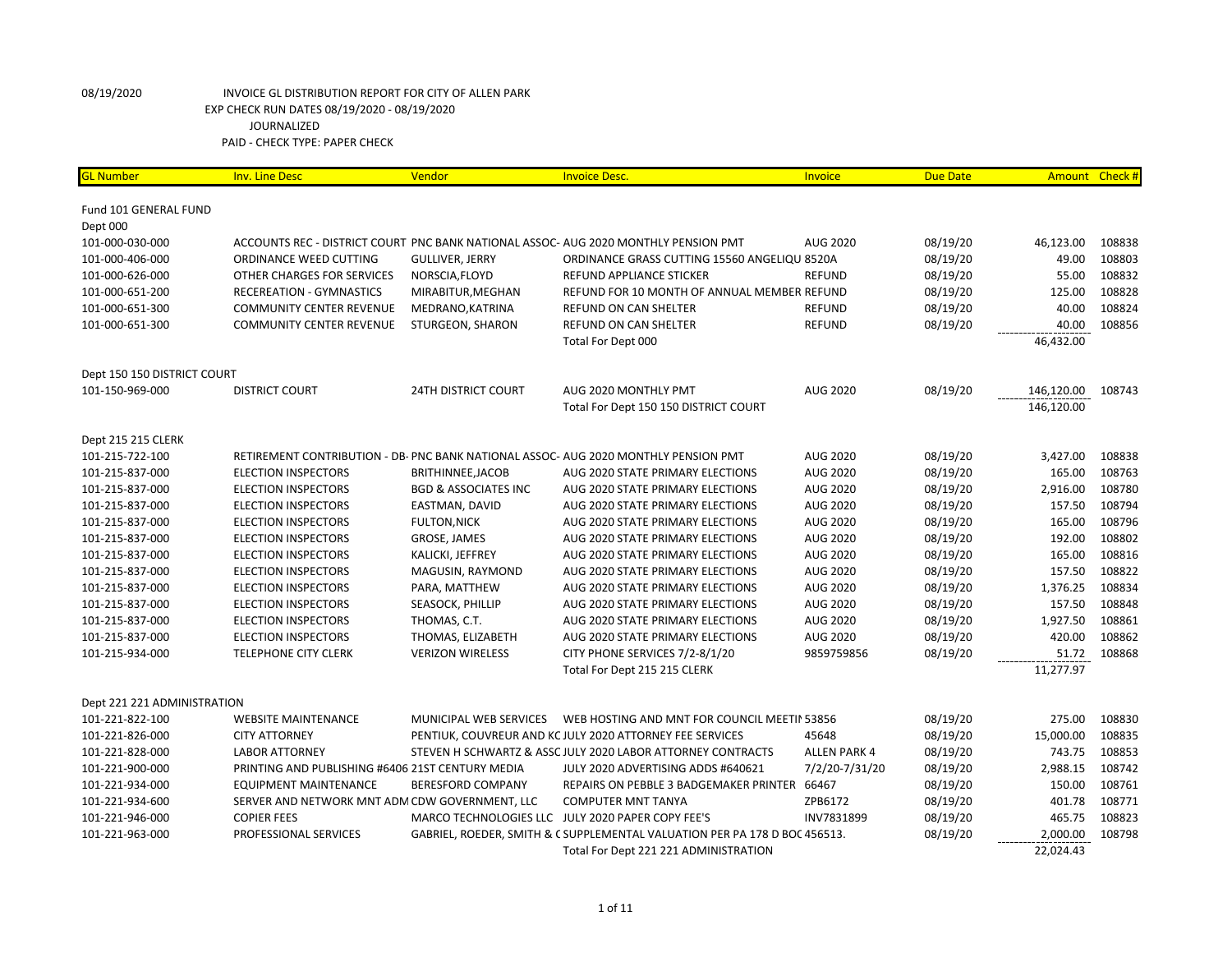| <b>GL Number</b>            | <b>Inv. Line Desc</b>                            | Vendor                          | <b>Invoice Desc.</b>                                                                | <b>Invoice</b>      | <b>Due Date</b> |            | Amount Check # |
|-----------------------------|--------------------------------------------------|---------------------------------|-------------------------------------------------------------------------------------|---------------------|-----------------|------------|----------------|
| Fund 101 GENERAL FUND       |                                                  |                                 |                                                                                     |                     |                 |            |                |
| Dept 000                    |                                                  |                                 |                                                                                     |                     |                 |            |                |
| 101-000-030-000             |                                                  |                                 | ACCOUNTS REC - DISTRICT COURT PNC BANK NATIONAL ASSOC- AUG 2020 MONTHLY PENSION PMT | <b>AUG 2020</b>     | 08/19/20        | 46,123.00  | 108838         |
| 101-000-406-000             | ORDINANCE WEED CUTTING                           | <b>GULLIVER, JERRY</b>          | ORDINANCE GRASS CUTTING 15560 ANGELIQU 8520A                                        |                     | 08/19/20        | 49.00      | 108803         |
| 101-000-626-000             | OTHER CHARGES FOR SERVICES                       | NORSCIA, FLOYD                  | REFUND APPLIANCE STICKER                                                            | <b>REFUND</b>       | 08/19/20        | 55.00      | 108832         |
| 101-000-651-200             | RECEREATION - GYMNASTICS                         | MIRABITUR, MEGHAN               | REFUND FOR 10 MONTH OF ANNUAL MEMBER REFUND                                         |                     | 08/19/20        | 125.00     | 108828         |
| 101-000-651-300             | <b>COMMUNITY CENTER REVENUE</b>                  | MEDRANO, KATRINA                | REFUND ON CAN SHELTER                                                               | <b>REFUND</b>       | 08/19/20        | 40.00      | 108824         |
| 101-000-651-300             | <b>COMMUNITY CENTER REVENUE</b>                  | STURGEON, SHARON                | REFUND ON CAN SHELTER                                                               | <b>REFUND</b>       | 08/19/20        | 40.00      | 108856         |
|                             |                                                  |                                 | Total For Dept 000                                                                  |                     |                 | 46,432.00  |                |
| Dept 150 150 DISTRICT COURT |                                                  |                                 |                                                                                     |                     |                 |            |                |
| 101-150-969-000             | <b>DISTRICT COURT</b>                            | <b>24TH DISTRICT COURT</b>      | AUG 2020 MONTHLY PMT                                                                | <b>AUG 2020</b>     | 08/19/20        | 146,120.00 | 108743         |
|                             |                                                  |                                 | Total For Dept 150 150 DISTRICT COURT                                               |                     |                 | 146,120.00 |                |
| Dept 215 215 CLERK          |                                                  |                                 |                                                                                     |                     |                 |            |                |
| 101-215-722-100             |                                                  |                                 | RETIREMENT CONTRIBUTION - DB- PNC BANK NATIONAL ASSOC- AUG 2020 MONTHLY PENSION PMT | <b>AUG 2020</b>     | 08/19/20        | 3,427.00   | 108838         |
| 101-215-837-000             | <b>ELECTION INSPECTORS</b>                       | BRITHINNEE, JACOB               | AUG 2020 STATE PRIMARY ELECTIONS                                                    | AUG 2020            | 08/19/20        | 165.00     | 108763         |
| 101-215-837-000             | <b>ELECTION INSPECTORS</b>                       | <b>BGD &amp; ASSOCIATES INC</b> | AUG 2020 STATE PRIMARY ELECTIONS                                                    | AUG 2020            | 08/19/20        | 2,916.00   | 108780         |
| 101-215-837-000             | <b>ELECTION INSPECTORS</b>                       | EASTMAN, DAVID                  | AUG 2020 STATE PRIMARY ELECTIONS                                                    | AUG 2020            | 08/19/20        | 157.50     | 108794         |
| 101-215-837-000             | <b>ELECTION INSPECTORS</b>                       | <b>FULTON, NICK</b>             | AUG 2020 STATE PRIMARY ELECTIONS                                                    | <b>AUG 2020</b>     | 08/19/20        | 165.00     | 108796         |
| 101-215-837-000             | <b>ELECTION INSPECTORS</b>                       | GROSE, JAMES                    | AUG 2020 STATE PRIMARY ELECTIONS                                                    | <b>AUG 2020</b>     | 08/19/20        | 192.00     | 108802         |
| 101-215-837-000             | <b>ELECTION INSPECTORS</b>                       | KALICKI, JEFFREY                | AUG 2020 STATE PRIMARY ELECTIONS                                                    | <b>AUG 2020</b>     | 08/19/20        | 165.00     | 108816         |
| 101-215-837-000             | <b>ELECTION INSPECTORS</b>                       | MAGUSIN, RAYMOND                | AUG 2020 STATE PRIMARY ELECTIONS                                                    | AUG 2020            | 08/19/20        | 157.50     | 108822         |
| 101-215-837-000             | <b>ELECTION INSPECTORS</b>                       | PARA, MATTHEW                   | AUG 2020 STATE PRIMARY ELECTIONS                                                    | <b>AUG 2020</b>     | 08/19/20        | 1,376.25   | 108834         |
| 101-215-837-000             | <b>ELECTION INSPECTORS</b>                       | SEASOCK, PHILLIP                | AUG 2020 STATE PRIMARY ELECTIONS                                                    | <b>AUG 2020</b>     | 08/19/20        | 157.50     | 108848         |
| 101-215-837-000             | <b>ELECTION INSPECTORS</b>                       | THOMAS, C.T.                    | AUG 2020 STATE PRIMARY ELECTIONS                                                    | AUG 2020            | 08/19/20        | 1,927.50   | 108861         |
| 101-215-837-000             | <b>ELECTION INSPECTORS</b>                       | THOMAS, ELIZABETH               | AUG 2020 STATE PRIMARY ELECTIONS                                                    | AUG 2020            | 08/19/20        | 420.00     | 108862         |
| 101-215-934-000             | <b>TELEPHONE CITY CLERK</b>                      | <b>VERIZON WIRELESS</b>         | CITY PHONE SERVICES 7/2-8/1/20                                                      | 9859759856          | 08/19/20        | 51.72      | 108868         |
|                             |                                                  |                                 | Total For Dept 215 215 CLERK                                                        |                     |                 | 11,277.97  |                |
| Dept 221 221 ADMINISTRATION |                                                  |                                 |                                                                                     |                     |                 |            |                |
| 101-221-822-100             | <b>WEBSITE MAINTENANCE</b>                       | MUNICIPAL WEB SERVICES          | WEB HOSTING AND MNT FOR COUNCIL MEETIN 53856                                        |                     | 08/19/20        | 275.00     | 108830         |
| 101-221-826-000             | <b>CITY ATTORNEY</b>                             |                                 | PENTIUK, COUVREUR AND KC JULY 2020 ATTORNEY FEE SERVICES                            | 45648               | 08/19/20        | 15,000.00  | 108835         |
| 101-221-828-000             | <b>LABOR ATTORNEY</b>                            |                                 | STEVEN H SCHWARTZ & ASSC JULY 2020 LABOR ATTORNEY CONTRACTS                         | <b>ALLEN PARK 4</b> | 08/19/20        | 743.75     | 108853         |
| 101-221-900-000             | PRINTING AND PUBLISHING #6406 21ST CENTURY MEDIA |                                 | JULY 2020 ADVERTISING ADDS #640621                                                  | 7/2/20-7/31/20      | 08/19/20        | 2,988.15   | 108742         |
| 101-221-934-000             | <b>EQUIPMENT MAINTENANCE</b>                     | <b>BERESFORD COMPANY</b>        | REPAIRS ON PEBBLE 3 BADGEMAKER PRINTER 66467                                        |                     | 08/19/20        | 150.00     | 108761         |
| 101-221-934-600             | SERVER AND NETWORK MNT ADM CDW GOVERNMENT, LLC   |                                 | <b>COMPUTER MNT TANYA</b>                                                           | ZPB6172             | 08/19/20        | 401.78     | 108771         |
| 101-221-946-000             | <b>COPIER FEES</b>                               |                                 | MARCO TECHNOLOGIES LLC JULY 2020 PAPER COPY FEE'S                                   | INV7831899          | 08/19/20        | 465.75     | 108823         |
| 101-221-963-000             | PROFESSIONAL SERVICES                            |                                 | GABRIEL, ROEDER, SMITH & C SUPPLEMENTAL VALUATION PER PA 178 D BOC 456513.          |                     | 08/19/20        | 2,000.00   | 108798         |
|                             |                                                  |                                 | Total For Dept 221 221 ADMINISTRATION                                               |                     |                 | 22,024.43  |                |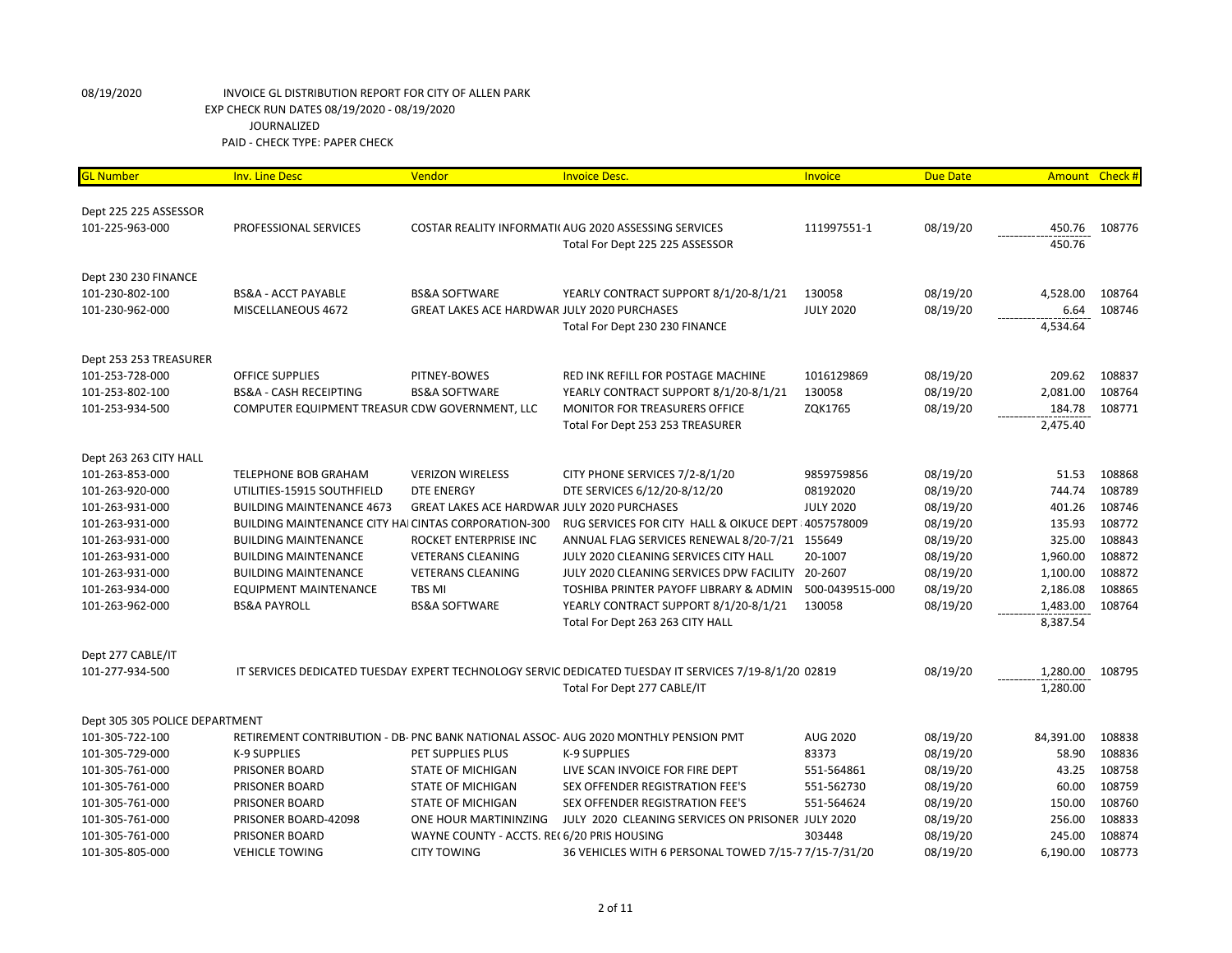| <b>GL Number</b>               | <b>Inv. Line Desc</b>                                | Vendor                                             | <b>Invoice Desc.</b>                                                                                   | Invoice          | <b>Due Date</b> | Amount Check # |        |
|--------------------------------|------------------------------------------------------|----------------------------------------------------|--------------------------------------------------------------------------------------------------------|------------------|-----------------|----------------|--------|
|                                |                                                      |                                                    |                                                                                                        |                  |                 |                |        |
| Dept 225 225 ASSESSOR          |                                                      |                                                    |                                                                                                        |                  |                 |                |        |
| 101-225-963-000                | PROFESSIONAL SERVICES                                |                                                    | COSTAR REALITY INFORMATI( AUG 2020 ASSESSING SERVICES                                                  | 111997551-1      | 08/19/20        | 450.76         | 108776 |
|                                |                                                      |                                                    | Total For Dept 225 225 ASSESSOR                                                                        |                  |                 | 450.76         |        |
| Dept 230 230 FINANCE           |                                                      |                                                    |                                                                                                        |                  |                 |                |        |
| 101-230-802-100                | <b>BS&amp;A - ACCT PAYABLE</b>                       | <b>BS&amp;A SOFTWARE</b>                           | YEARLY CONTRACT SUPPORT 8/1/20-8/1/21                                                                  | 130058           | 08/19/20        | 4,528.00       | 108764 |
| 101-230-962-000                | MISCELLANEOUS 4672                                   | <b>GREAT LAKES ACE HARDWAR JULY 2020 PURCHASES</b> |                                                                                                        | <b>JULY 2020</b> | 08/19/20        | 6.64           | 108746 |
|                                |                                                      |                                                    | Total For Dept 230 230 FINANCE                                                                         |                  |                 | 4,534.64       |        |
| Dept 253 253 TREASURER         |                                                      |                                                    |                                                                                                        |                  |                 |                |        |
| 101-253-728-000                | OFFICE SUPPLIES                                      | PITNEY-BOWES                                       | RED INK REFILL FOR POSTAGE MACHINE                                                                     | 1016129869       | 08/19/20        | 209.62         | 108837 |
| 101-253-802-100                | <b>BS&amp;A - CASH RECEIPTING</b>                    | <b>BS&amp;A SOFTWARE</b>                           | YEARLY CONTRACT SUPPORT 8/1/20-8/1/21                                                                  | 130058           | 08/19/20        | 2,081.00       | 108764 |
| 101-253-934-500                | COMPUTER EQUIPMENT TREASUR CDW GOVERNMENT, LLC       |                                                    | <b>MONITOR FOR TREASURERS OFFICE</b>                                                                   | ZQK1765          | 08/19/20        | 184.78         | 108771 |
|                                |                                                      |                                                    | Total For Dept 253 253 TREASURER                                                                       |                  |                 | 2,475.40       |        |
| Dept 263 263 CITY HALL         |                                                      |                                                    |                                                                                                        |                  |                 |                |        |
| 101-263-853-000                | <b>TELEPHONE BOB GRAHAM</b>                          | <b>VERIZON WIRELESS</b>                            | CITY PHONE SERVICES 7/2-8/1/20                                                                         | 9859759856       | 08/19/20        | 51.53          | 108868 |
| 101-263-920-000                | UTILITIES-15915 SOUTHFIELD                           | <b>DTE ENERGY</b>                                  | DTE SERVICES 6/12/20-8/12/20                                                                           | 08192020         | 08/19/20        | 744.74         | 108789 |
| 101-263-931-000                | <b>BUILDING MAINTENANCE 4673</b>                     | <b>GREAT LAKES ACE HARDWAR JULY 2020 PURCHASES</b> |                                                                                                        | <b>JULY 2020</b> | 08/19/20        | 401.26         | 108746 |
| 101-263-931-000                | BUILDING MAINTENANCE CITY HAI CINTAS CORPORATION-300 |                                                    | RUG SERVICES FOR CITY HALL & OIKUCE DEPT 4057578009                                                    |                  | 08/19/20        | 135.93         | 108772 |
| 101-263-931-000                | <b>BUILDING MAINTENANCE</b>                          | ROCKET ENTERPRISE INC                              | ANNUAL FLAG SERVICES RENEWAL 8/20-7/21 155649                                                          |                  | 08/19/20        | 325.00         | 108843 |
| 101-263-931-000                | <b>BUILDING MAINTENANCE</b>                          | <b>VETERANS CLEANING</b>                           | JULY 2020 CLEANING SERVICES CITY HALL                                                                  | 20-1007          | 08/19/20        | 1,960.00       | 108872 |
| 101-263-931-000                | <b>BUILDING MAINTENANCE</b>                          | <b>VETERANS CLEANING</b>                           | JULY 2020 CLEANING SERVICES DPW FACILITY 20-2607                                                       |                  | 08/19/20        | 1,100.00       | 108872 |
| 101-263-934-000                | <b>EQUIPMENT MAINTENANCE</b>                         | TBS MI                                             | TOSHIBA PRINTER PAYOFF LIBRARY & ADMIN                                                                 | 500-0439515-000  | 08/19/20        | 2,186.08       | 108865 |
| 101-263-962-000                | <b>BS&amp;A PAYROLL</b>                              | <b>BS&amp;A SOFTWARE</b>                           | YEARLY CONTRACT SUPPORT 8/1/20-8/1/21                                                                  | 130058           | 08/19/20        | 1,483.00       | 108764 |
|                                |                                                      |                                                    | Total For Dept 263 263 CITY HALL                                                                       |                  |                 | 8,387.54       |        |
|                                |                                                      |                                                    |                                                                                                        |                  |                 |                |        |
| Dept 277 CABLE/IT              |                                                      |                                                    |                                                                                                        |                  |                 |                |        |
| 101-277-934-500                |                                                      |                                                    | IT SERVICES DEDICATED TUESDAY EXPERT TECHNOLOGY SERVIC DEDICATED TUESDAY IT SERVICES 7/19-8/1/20 02819 |                  | 08/19/20        | 1,280.00       | 108795 |
|                                |                                                      |                                                    | Total For Dept 277 CABLE/IT                                                                            |                  |                 | 1,280.00       |        |
| Dept 305 305 POLICE DEPARTMENT |                                                      |                                                    |                                                                                                        |                  |                 |                |        |
| 101-305-722-100                |                                                      |                                                    | RETIREMENT CONTRIBUTION - DB- PNC BANK NATIONAL ASSOC- AUG 2020 MONTHLY PENSION PMT                    | <b>AUG 2020</b>  | 08/19/20        | 84,391.00      | 108838 |
| 101-305-729-000                | K-9 SUPPLIES                                         | PET SUPPLIES PLUS                                  | <b>K-9 SUPPLIES</b>                                                                                    | 83373            | 08/19/20        | 58.90          | 108836 |
| 101-305-761-000                | PRISONER BOARD                                       | STATE OF MICHIGAN                                  | LIVE SCAN INVOICE FOR FIRE DEPT                                                                        | 551-564861       | 08/19/20        | 43.25          | 108758 |
| 101-305-761-000                | PRISONER BOARD                                       | STATE OF MICHIGAN                                  | SEX OFFENDER REGISTRATION FEE'S                                                                        | 551-562730       | 08/19/20        | 60.00          | 108759 |
| 101-305-761-000                | PRISONER BOARD                                       | <b>STATE OF MICHIGAN</b>                           | SEX OFFENDER REGISTRATION FEE'S                                                                        | 551-564624       | 08/19/20        | 150.00         | 108760 |
| 101-305-761-000                | PRISONER BOARD-42098                                 | ONE HOUR MARTININZING                              | JULY 2020 CLEANING SERVICES ON PRISONER JULY 2020                                                      |                  | 08/19/20        | 256.00         | 108833 |
| 101-305-761-000                | PRISONER BOARD                                       | WAYNE COUNTY - ACCTS. REC6/20 PRIS HOUSING         |                                                                                                        | 303448           | 08/19/20        | 245.00         | 108874 |
| 101-305-805-000                | <b>VEHICLE TOWING</b>                                | <b>CITY TOWING</b>                                 | 36 VEHICLES WITH 6 PERSONAL TOWED 7/15-77/15-7/31/20                                                   |                  | 08/19/20        | 6,190.00       | 108773 |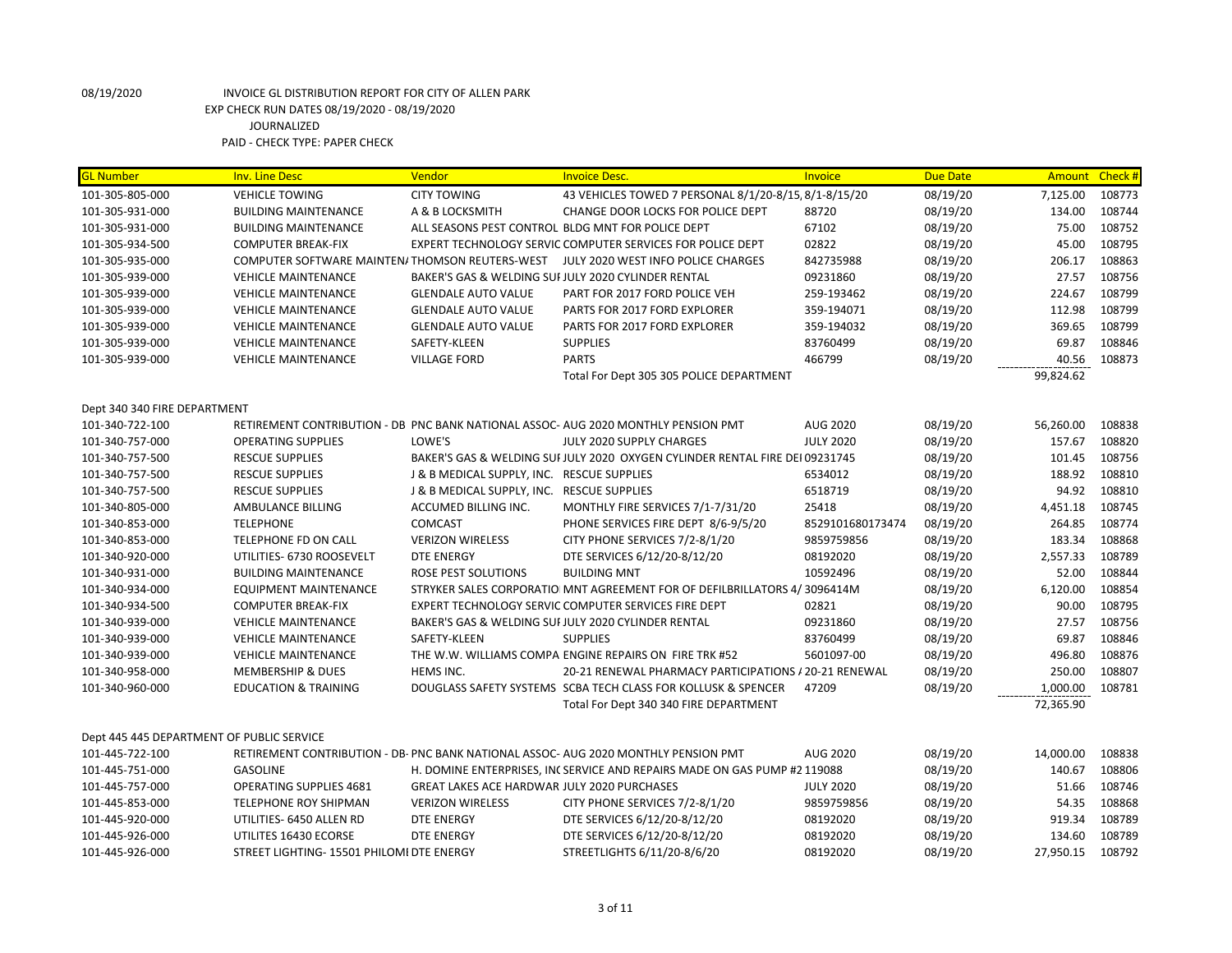| <b>GL Number</b>                          | <b>Inv. Line Desc</b>                                              | Vendor                                             | <b>Invoice Desc.</b>                                                                | Invoice              | <b>Due Date</b>      | Amount Check #      |                  |
|-------------------------------------------|--------------------------------------------------------------------|----------------------------------------------------|-------------------------------------------------------------------------------------|----------------------|----------------------|---------------------|------------------|
| 101-305-805-000                           | <b>VEHICLE TOWING</b>                                              | <b>CITY TOWING</b>                                 | 43 VEHICLES TOWED 7 PERSONAL 8/1/20-8/15, 8/1-8/15/20                               |                      | 08/19/20             | 7,125.00            | 108773           |
| 101-305-931-000                           | <b>BUILDING MAINTENANCE</b>                                        | A & B LOCKSMITH                                    | CHANGE DOOR LOCKS FOR POLICE DEPT                                                   | 88720                | 08/19/20             | 134.00              | 108744           |
| 101-305-931-000                           | <b>BUILDING MAINTENANCE</b>                                        |                                                    | ALL SEASONS PEST CONTROL BLDG MNT FOR POLICE DEPT                                   | 67102                | 08/19/20             | 75.00               | 108752           |
| 101-305-934-500                           | <b>COMPUTER BREAK-FIX</b>                                          |                                                    | EXPERT TECHNOLOGY SERVIC COMPUTER SERVICES FOR POLICE DEPT                          | 02822                | 08/19/20             | 45.00               | 108795           |
| 101-305-935-000                           | COMPUTER SOFTWARE MAINTEN/THOMSON REUTERS-WEST                     |                                                    | JULY 2020 WEST INFO POLICE CHARGES                                                  | 842735988            | 08/19/20             | 206.17              | 108863           |
| 101-305-939-000                           | <b>VEHICLE MAINTENANCE</b>                                         |                                                    | BAKER'S GAS & WELDING SUI JULY 2020 CYLINDER RENTAL                                 | 09231860             | 08/19/20             | 27.57               | 108756           |
| 101-305-939-000                           | <b>VEHICLE MAINTENANCE</b>                                         | <b>GLENDALE AUTO VALUE</b>                         | PART FOR 2017 FORD POLICE VEH                                                       | 259-193462           | 08/19/20             | 224.67              | 108799           |
| 101-305-939-000                           | <b>VEHICLE MAINTENANCE</b>                                         | <b>GLENDALE AUTO VALUE</b>                         | PARTS FOR 2017 FORD EXPLORER                                                        | 359-194071           | 08/19/20             | 112.98              | 108799           |
| 101-305-939-000                           | <b>VEHICLE MAINTENANCE</b>                                         | <b>GLENDALE AUTO VALUE</b>                         | PARTS FOR 2017 FORD EXPLORER                                                        | 359-194032           | 08/19/20             | 369.65              | 108799           |
| 101-305-939-000                           | <b>VEHICLE MAINTENANCE</b>                                         | SAFETY-KLEEN                                       | <b>SUPPLIES</b>                                                                     | 83760499             | 08/19/20             | 69.87               | 108846           |
| 101-305-939-000                           | <b>VEHICLE MAINTENANCE</b>                                         | <b>VILLAGE FORD</b>                                | <b>PARTS</b>                                                                        | 466799               | 08/19/20             | 40.56               | 108873           |
|                                           |                                                                    |                                                    | Total For Dept 305 305 POLICE DEPARTMENT                                            |                      |                      | 99,824.62           |                  |
|                                           |                                                                    |                                                    |                                                                                     |                      |                      |                     |                  |
| Dept 340 340 FIRE DEPARTMENT              |                                                                    |                                                    |                                                                                     |                      |                      |                     |                  |
| 101-340-722-100                           |                                                                    |                                                    | RETIREMENT CONTRIBUTION - DB PNC BANK NATIONAL ASSOC- AUG 2020 MONTHLY PENSION PMT  | AUG 2020             | 08/19/20             | 56,260.00           | 108838           |
| 101-340-757-000                           | <b>OPERATING SUPPLIES</b>                                          | LOWE'S                                             | JULY 2020 SUPPLY CHARGES                                                            | <b>JULY 2020</b>     | 08/19/20             | 157.67              | 108820           |
| 101-340-757-500                           | <b>RESCUE SUPPLIES</b>                                             |                                                    | BAKER'S GAS & WELDING SUI JULY 2020 OXYGEN CYLINDER RENTAL FIRE DEI 09231745        |                      | 08/19/20             | 101.45              | 108756           |
| 101-340-757-500                           | <b>RESCUE SUPPLIES</b>                                             | J & B MEDICAL SUPPLY, INC. RESCUE SUPPLIES         |                                                                                     | 6534012              | 08/19/20             | 188.92              | 108810           |
| 101-340-757-500                           | <b>RESCUE SUPPLIES</b>                                             | J & B MEDICAL SUPPLY, INC. RESCUE SUPPLIES         |                                                                                     | 6518719              | 08/19/20             | 94.92               | 108810           |
| 101-340-805-000                           | AMBULANCE BILLING                                                  | ACCUMED BILLING INC.                               | MONTHLY FIRE SERVICES 7/1-7/31/20                                                   | 25418                | 08/19/20             | 4,451.18            | 108745           |
| 101-340-853-000                           | <b>TELEPHONE</b>                                                   | COMCAST                                            | PHONE SERVICES FIRE DEPT 8/6-9/5/20                                                 | 8529101680173474     | 08/19/20             | 264.85              | 108774           |
| 101-340-853-000                           | TELEPHONE FD ON CALL                                               | <b>VERIZON WIRELESS</b>                            | CITY PHONE SERVICES 7/2-8/1/20                                                      | 9859759856           | 08/19/20             | 183.34              | 108868           |
| 101-340-920-000                           | UTILITIES- 6730 ROOSEVELT                                          | <b>DTE ENERGY</b>                                  | DTE SERVICES 6/12/20-8/12/20                                                        | 08192020             | 08/19/20             | 2,557.33            | 108789           |
| 101-340-931-000                           | <b>BUILDING MAINTENANCE</b>                                        | ROSE PEST SOLUTIONS                                | <b>BUILDING MNT</b>                                                                 | 10592496             | 08/19/20             | 52.00               | 108844           |
| 101-340-934-000                           | <b>EQUIPMENT MAINTENANCE</b>                                       |                                                    | STRYKER SALES CORPORATIO MNT AGREEMENT FOR OF DEFILBRILLATORS 4/3096414M            |                      | 08/19/20             | 6,120.00            | 108854           |
| 101-340-934-500                           | <b>COMPUTER BREAK-FIX</b>                                          |                                                    | EXPERT TECHNOLOGY SERVIC COMPUTER SERVICES FIRE DEPT                                | 02821                | 08/19/20             | 90.00               | 108795           |
| 101-340-939-000                           | <b>VEHICLE MAINTENANCE</b>                                         |                                                    | BAKER'S GAS & WELDING SUI JULY 2020 CYLINDER RENTAL                                 | 09231860             | 08/19/20             | 27.57               | 108756           |
| 101-340-939-000                           | <b>VEHICLE MAINTENANCE</b>                                         | SAFETY-KLEEN                                       | <b>SUPPLIES</b>                                                                     | 83760499             | 08/19/20             | 69.87               | 108846           |
| 101-340-939-000                           | <b>VEHICLE MAINTENANCE</b>                                         |                                                    | THE W.W. WILLIAMS COMPA ENGINE REPAIRS ON FIRE TRK #52                              | 5601097-00           | 08/19/20             | 496.80              | 108876           |
| 101-340-958-000                           | <b>MEMBERSHIP &amp; DUES</b>                                       | HEMS INC.                                          | 20-21 RENEWAL PHARMACY PARTICIPATIONS / 20-21 RENEWAL                               |                      | 08/19/20             | 250.00              | 108807           |
| 101-340-960-000                           | <b>EDUCATION &amp; TRAINING</b>                                    |                                                    | DOUGLASS SAFETY SYSTEMS SCBA TECH CLASS FOR KOLLUSK & SPENCER                       | 47209                | 08/19/20             | 1,000.00            | 108781           |
|                                           |                                                                    |                                                    | Total For Dept 340 340 FIRE DEPARTMENT                                              |                      |                      | 72,365.90           |                  |
| Dept 445 445 DEPARTMENT OF PUBLIC SERVICE |                                                                    |                                                    |                                                                                     |                      |                      |                     |                  |
| 101-445-722-100                           |                                                                    |                                                    | RETIREMENT CONTRIBUTION - DB- PNC BANK NATIONAL ASSOC- AUG 2020 MONTHLY PENSION PMT | <b>AUG 2020</b>      | 08/19/20             | 14,000.00           | 108838           |
| 101-445-751-000                           | <b>GASOLINE</b>                                                    |                                                    | H. DOMINE ENTERPRISES, INCSERVICE AND REPAIRS MADE ON GAS PUMP #2 119088            |                      | 08/19/20             | 140.67              | 108806           |
| 101-445-757-000                           | <b>OPERATING SUPPLIES 4681</b>                                     | <b>GREAT LAKES ACE HARDWAR JULY 2020 PURCHASES</b> |                                                                                     | <b>JULY 2020</b>     | 08/19/20             | 51.66               | 108746           |
| 101-445-853-000                           | <b>TELEPHONE ROY SHIPMAN</b>                                       | <b>VERIZON WIRELESS</b>                            | CITY PHONE SERVICES 7/2-8/1/20                                                      | 9859759856           | 08/19/20             | 54.35               | 108868           |
| 101-445-920-000                           | UTILITIES- 6450 ALLEN RD                                           | <b>DTE ENERGY</b>                                  | DTE SERVICES 6/12/20-8/12/20                                                        | 08192020             | 08/19/20             | 919.34              | 108789           |
|                                           |                                                                    |                                                    |                                                                                     |                      |                      |                     |                  |
|                                           |                                                                    |                                                    |                                                                                     |                      |                      |                     |                  |
| 101-445-926-000<br>101-445-926-000        | UTILITES 16430 ECORSE<br>STREET LIGHTING- 15501 PHILOMI DTE ENERGY | <b>DTE ENERGY</b>                                  | DTE SERVICES 6/12/20-8/12/20<br>STREETLIGHTS 6/11/20-8/6/20                         | 08192020<br>08192020 | 08/19/20<br>08/19/20 | 134.60<br>27,950.15 | 108789<br>108792 |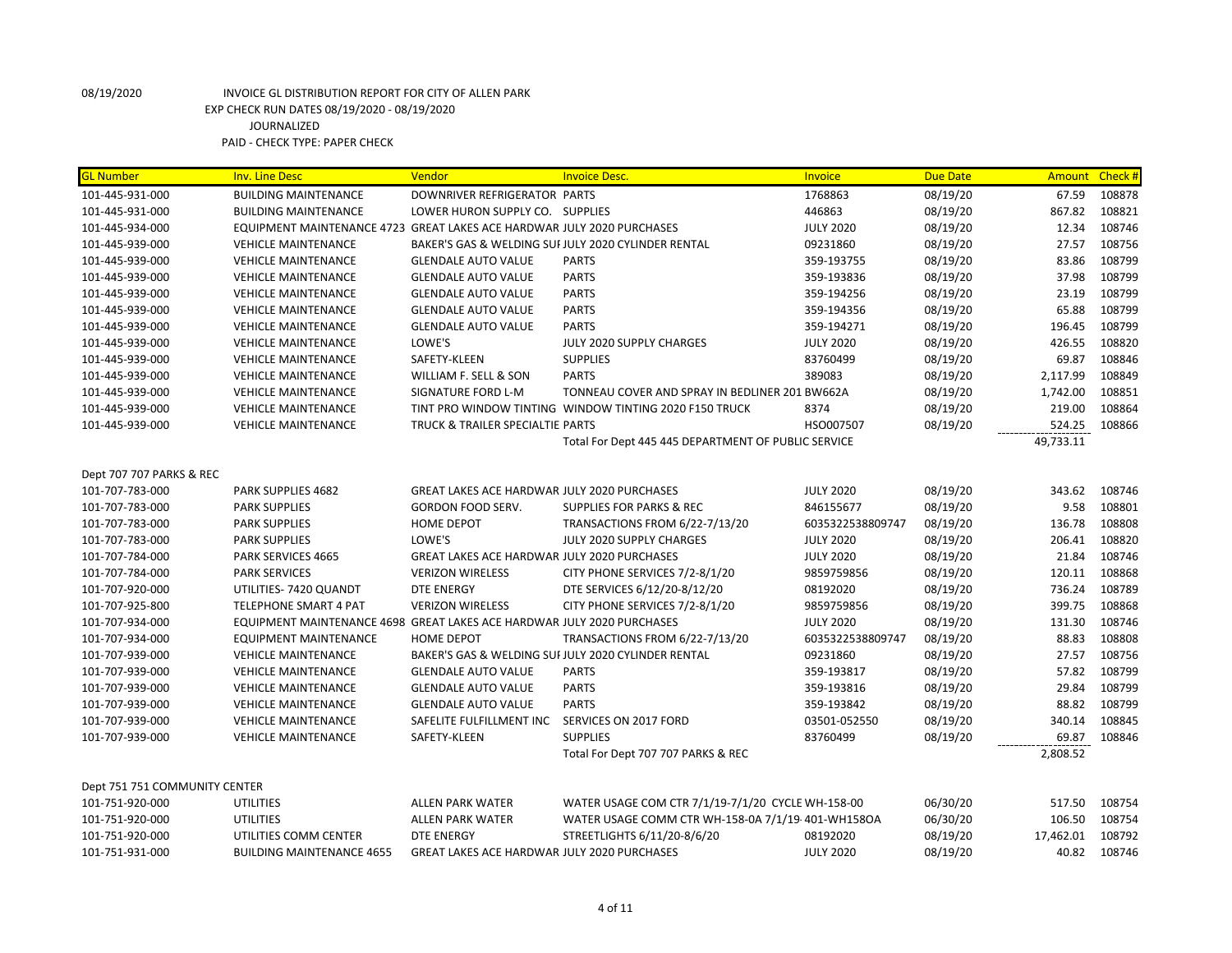| <b>GL Number</b>              | <b>Inv. Line Desc</b>                                                  | Vendor                                             | <b>Invoice Desc.</b>                                   | Invoice          | <b>Due Date</b> | Amount    | Check # |
|-------------------------------|------------------------------------------------------------------------|----------------------------------------------------|--------------------------------------------------------|------------------|-----------------|-----------|---------|
| 101-445-931-000               | <b>BUILDING MAINTENANCE</b>                                            | DOWNRIVER REFRIGERATOR PARTS                       |                                                        | 1768863          | 08/19/20        | 67.59     | 108878  |
| 101-445-931-000               | <b>BUILDING MAINTENANCE</b>                                            | LOWER HURON SUPPLY CO. SUPPLIES                    |                                                        | 446863           | 08/19/20        | 867.82    | 108821  |
| 101-445-934-000               | EQUIPMENT MAINTENANCE 4723 GREAT LAKES ACE HARDWAR JULY 2020 PURCHASES |                                                    |                                                        | <b>JULY 2020</b> | 08/19/20        | 12.34     | 108746  |
| 101-445-939-000               | <b>VEHICLE MAINTENANCE</b>                                             |                                                    | BAKER'S GAS & WELDING SUI JULY 2020 CYLINDER RENTAL    | 09231860         | 08/19/20        | 27.57     | 108756  |
| 101-445-939-000               | <b>VEHICLE MAINTENANCE</b>                                             | <b>GLENDALE AUTO VALUE</b>                         | <b>PARTS</b>                                           | 359-193755       | 08/19/20        | 83.86     | 108799  |
| 101-445-939-000               | <b>VEHICLE MAINTENANCE</b>                                             | <b>GLENDALE AUTO VALUE</b>                         | <b>PARTS</b>                                           | 359-193836       | 08/19/20        | 37.98     | 108799  |
| 101-445-939-000               | <b>VEHICLE MAINTENANCE</b>                                             | <b>GLENDALE AUTO VALUE</b>                         | <b>PARTS</b>                                           | 359-194256       | 08/19/20        | 23.19     | 108799  |
| 101-445-939-000               | <b>VEHICLE MAINTENANCE</b>                                             | <b>GLENDALE AUTO VALUE</b>                         | <b>PARTS</b>                                           | 359-194356       | 08/19/20        | 65.88     | 108799  |
| 101-445-939-000               | <b>VEHICLE MAINTENANCE</b>                                             | <b>GLENDALE AUTO VALUE</b>                         | <b>PARTS</b>                                           | 359-194271       | 08/19/20        | 196.45    | 108799  |
| 101-445-939-000               | <b>VEHICLE MAINTENANCE</b>                                             | LOWE'S                                             | JULY 2020 SUPPLY CHARGES                               | <b>JULY 2020</b> | 08/19/20        | 426.55    | 108820  |
| 101-445-939-000               | <b>VEHICLE MAINTENANCE</b>                                             | SAFETY-KLEEN                                       | <b>SUPPLIES</b><br>83760499                            |                  | 08/19/20        | 69.87     | 108846  |
| 101-445-939-000               | <b>VEHICLE MAINTENANCE</b>                                             | WILLIAM F. SELL & SON                              | <b>PARTS</b><br>389083                                 |                  | 08/19/20        | 2,117.99  | 108849  |
| 101-445-939-000               | <b>VEHICLE MAINTENANCE</b>                                             | SIGNATURE FORD L-M                                 | TONNEAU COVER AND SPRAY IN BEDLINER 201 BW662A         |                  | 08/19/20        | 1,742.00  | 108851  |
| 101-445-939-000               | <b>VEHICLE MAINTENANCE</b>                                             |                                                    | TINT PRO WINDOW TINTING WINDOW TINTING 2020 F150 TRUCK | 8374             | 08/19/20        | 219.00    | 108864  |
| 101-445-939-000               | <b>VEHICLE MAINTENANCE</b>                                             | TRUCK & TRAILER SPECIALTIE PARTS                   |                                                        | HSO007507        | 08/19/20        | 524.25    | 108866  |
|                               |                                                                        |                                                    | Total For Dept 445 445 DEPARTMENT OF PUBLIC SERVICE    |                  |                 | 49,733.11 |         |
|                               |                                                                        |                                                    |                                                        |                  |                 |           |         |
| Dept 707 707 PARKS & REC      |                                                                        |                                                    |                                                        |                  |                 |           |         |
| 101-707-783-000               | PARK SUPPLIES 4682                                                     | <b>GREAT LAKES ACE HARDWAR JULY 2020 PURCHASES</b> |                                                        | <b>JULY 2020</b> | 08/19/20        | 343.62    | 108746  |
| 101-707-783-000               | <b>PARK SUPPLIES</b>                                                   | <b>GORDON FOOD SERV.</b>                           | <b>SUPPLIES FOR PARKS &amp; REC</b>                    | 846155677        | 08/19/20        | 9.58      | 108801  |
| 101-707-783-000               | <b>PARK SUPPLIES</b>                                                   | <b>HOME DEPOT</b>                                  | TRANSACTIONS FROM 6/22-7/13/20                         | 6035322538809747 | 08/19/20        | 136.78    | 108808  |
| 101-707-783-000               | <b>PARK SUPPLIES</b>                                                   | LOWE'S                                             | JULY 2020 SUPPLY CHARGES                               | <b>JULY 2020</b> | 08/19/20        | 206.41    | 108820  |
| 101-707-784-000               | <b>PARK SERVICES 4665</b>                                              | GREAT LAKES ACE HARDWAR JULY 2020 PURCHASES        |                                                        | <b>JULY 2020</b> | 08/19/20        | 21.84     | 108746  |
| 101-707-784-000               | <b>PARK SERVICES</b>                                                   | <b>VERIZON WIRELESS</b>                            | CITY PHONE SERVICES 7/2-8/1/20                         | 9859759856       | 08/19/20        | 120.11    | 108868  |
| 101-707-920-000               | UTILITIES-7420 QUANDT                                                  | DTE ENERGY                                         | DTE SERVICES 6/12/20-8/12/20                           | 08192020         | 08/19/20        | 736.24    | 108789  |
| 101-707-925-800               | TELEPHONE SMART 4 PAT                                                  | <b>VERIZON WIRELESS</b>                            | CITY PHONE SERVICES 7/2-8/1/20                         | 9859759856       | 08/19/20        | 399.75    | 108868  |
| 101-707-934-000               | EQUIPMENT MAINTENANCE 4698 GREAT LAKES ACE HARDWAR JULY 2020 PURCHASES |                                                    |                                                        | <b>JULY 2020</b> | 08/19/20        | 131.30    | 108746  |
| 101-707-934-000               | <b>EQUIPMENT MAINTENANCE</b>                                           | <b>HOME DEPOT</b>                                  | TRANSACTIONS FROM 6/22-7/13/20                         | 6035322538809747 | 08/19/20        | 88.83     | 108808  |
| 101-707-939-000               | <b>VEHICLE MAINTENANCE</b>                                             |                                                    | BAKER'S GAS & WELDING SUI JULY 2020 CYLINDER RENTAL    | 09231860         | 08/19/20        | 27.57     | 108756  |
| 101-707-939-000               | <b>VEHICLE MAINTENANCE</b>                                             | <b>GLENDALE AUTO VALUE</b>                         | <b>PARTS</b>                                           | 359-193817       | 08/19/20        | 57.82     | 108799  |
| 101-707-939-000               | <b>VEHICLE MAINTENANCE</b>                                             | <b>GLENDALE AUTO VALUE</b>                         | <b>PARTS</b>                                           | 359-193816       | 08/19/20        | 29.84     | 108799  |
| 101-707-939-000               | <b>VEHICLE MAINTENANCE</b>                                             | <b>GLENDALE AUTO VALUE</b>                         | <b>PARTS</b>                                           | 359-193842       | 08/19/20        | 88.82     | 108799  |
| 101-707-939-000               | <b>VEHICLE MAINTENANCE</b>                                             | SAFELITE FULFILLMENT INC                           | SERVICES ON 2017 FORD                                  | 03501-052550     | 08/19/20        | 340.14    | 108845  |
| 101-707-939-000               | <b>VEHICLE MAINTENANCE</b>                                             | SAFETY-KLEEN                                       | <b>SUPPLIES</b>                                        | 83760499         | 08/19/20        | 69.87     | 108846  |
|                               |                                                                        |                                                    | Total For Dept 707 707 PARKS & REC                     |                  |                 | 2,808.52  |         |
|                               |                                                                        |                                                    |                                                        |                  |                 |           |         |
| Dept 751 751 COMMUNITY CENTER |                                                                        |                                                    |                                                        |                  |                 |           |         |
| 101-751-920-000               | <b>UTILITIES</b>                                                       | <b>ALLEN PARK WATER</b>                            | WATER USAGE COM CTR 7/1/19-7/1/20 CYCLE WH-158-00      |                  | 06/30/20        | 517.50    | 108754  |
| 101-751-920-000               | <b>UTILITIES</b>                                                       | <b>ALLEN PARK WATER</b>                            | WATER USAGE COMM CTR WH-158-0A 7/1/19-401-WH158OA      |                  | 06/30/20        | 106.50    | 108754  |
| 101-751-920-000               | UTILITIES COMM CENTER                                                  | DTE ENERGY                                         | STREETLIGHTS 6/11/20-8/6/20                            | 08192020         | 08/19/20        | 17,462.01 | 108792  |
| 101-751-931-000               | <b>BUILDING MAINTENANCE 4655</b>                                       | <b>GREAT LAKES ACE HARDWAR JULY 2020 PURCHASES</b> |                                                        | <b>JULY 2020</b> | 08/19/20        | 40.82     | 108746  |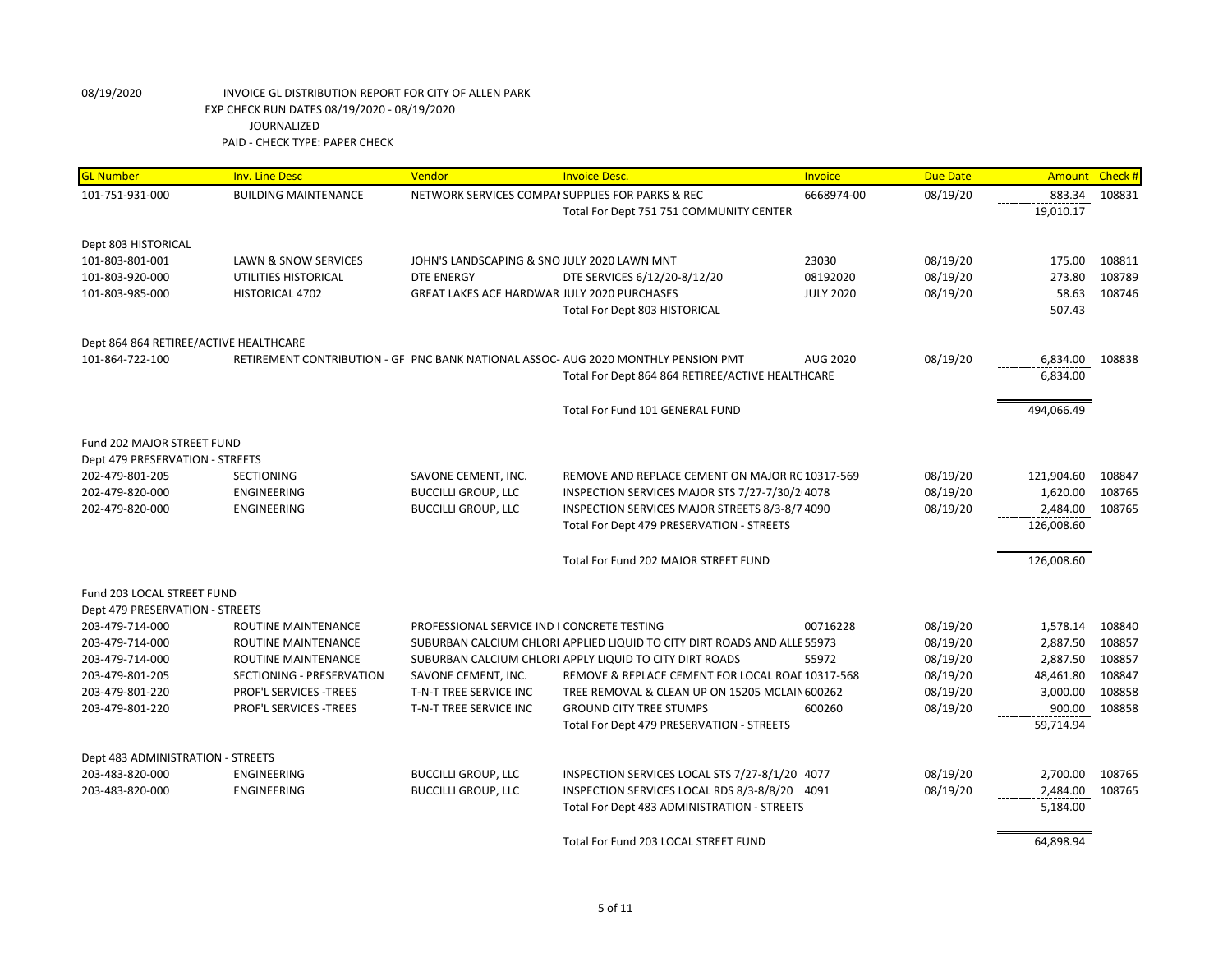| <b>GL Number</b>                       | <b>Inv. Line Desc</b>         | Vendor                                             | <b>Invoice Desc.</b>                                                               | <b>Invoice</b>   | <b>Due Date</b> | Amount     | Check# |
|----------------------------------------|-------------------------------|----------------------------------------------------|------------------------------------------------------------------------------------|------------------|-----------------|------------|--------|
| 101-751-931-000                        | <b>BUILDING MAINTENANCE</b>   | NETWORK SERVICES COMPAI SUPPLIES FOR PARKS & REC   |                                                                                    | 6668974-00       | 08/19/20        | 883.34     | 108831 |
|                                        |                               |                                                    | Total For Dept 751 751 COMMUNITY CENTER                                            |                  |                 | 19,010.17  |        |
|                                        |                               |                                                    |                                                                                    |                  |                 |            |        |
| Dept 803 HISTORICAL                    |                               |                                                    |                                                                                    |                  |                 |            |        |
| 101-803-801-001                        | LAWN & SNOW SERVICES          | JOHN'S LANDSCAPING & SNO JULY 2020 LAWN MNT        |                                                                                    | 23030            | 08/19/20        | 175.00     | 108811 |
| 101-803-920-000                        | UTILITIES HISTORICAL          | DTE ENERGY                                         | DTE SERVICES 6/12/20-8/12/20                                                       | 08192020         | 08/19/20        | 273.80     | 108789 |
| 101-803-985-000                        | HISTORICAL 4702               | <b>GREAT LAKES ACE HARDWAR JULY 2020 PURCHASES</b> |                                                                                    | <b>JULY 2020</b> | 08/19/20        | 58.63      | 108746 |
|                                        |                               |                                                    | Total For Dept 803 HISTORICAL                                                      |                  |                 | 507.43     |        |
| Dept 864 864 RETIREE/ACTIVE HEALTHCARE |                               |                                                    |                                                                                    |                  |                 |            |        |
| 101-864-722-100                        |                               |                                                    | RETIREMENT CONTRIBUTION - GF PNC BANK NATIONAL ASSOC- AUG 2020 MONTHLY PENSION PMT | <b>AUG 2020</b>  | 08/19/20        | 6,834.00   | 108838 |
|                                        |                               |                                                    | Total For Dept 864 864 RETIREE/ACTIVE HEALTHCARE                                   |                  |                 | 6,834.00   |        |
|                                        |                               |                                                    |                                                                                    |                  |                 |            |        |
|                                        |                               |                                                    | Total For Fund 101 GENERAL FUND                                                    |                  |                 | 494,066.49 |        |
| Fund 202 MAJOR STREET FUND             |                               |                                                    |                                                                                    |                  |                 |            |        |
| Dept 479 PRESERVATION - STREETS        |                               |                                                    |                                                                                    |                  |                 |            |        |
| 202-479-801-205                        | <b>SECTIONING</b>             | SAVONE CEMENT, INC.                                | REMOVE AND REPLACE CEMENT ON MAJOR RC 10317-569                                    |                  | 08/19/20        | 121,904.60 | 108847 |
| 202-479-820-000                        | ENGINEERING                   | <b>BUCCILLI GROUP, LLC</b>                         | INSPECTION SERVICES MAJOR STS 7/27-7/30/2 4078                                     |                  | 08/19/20        | 1,620.00   | 108765 |
| 202-479-820-000                        | ENGINEERING                   | <b>BUCCILLI GROUP, LLC</b>                         | INSPECTION SERVICES MAJOR STREETS 8/3-8/7 4090                                     |                  | 08/19/20        | 2,484.00   | 108765 |
|                                        |                               |                                                    | Total For Dept 479 PRESERVATION - STREETS                                          |                  |                 | 126,008.60 |        |
|                                        |                               |                                                    |                                                                                    |                  |                 |            |        |
|                                        |                               |                                                    | Total For Fund 202 MAJOR STREET FUND                                               |                  |                 | 126,008.60 |        |
| Fund 203 LOCAL STREET FUND             |                               |                                                    |                                                                                    |                  |                 |            |        |
| Dept 479 PRESERVATION - STREETS        |                               |                                                    |                                                                                    |                  |                 |            |        |
| 203-479-714-000                        | ROUTINE MAINTENANCE           | PROFESSIONAL SERVICE IND I CONCRETE TESTING        |                                                                                    | 00716228         | 08/19/20        | 1,578.14   | 108840 |
| 203-479-714-000                        | ROUTINE MAINTENANCE           |                                                    | SUBURBAN CALCIUM CHLORI APPLIED LIQUID TO CITY DIRT ROADS AND ALLE 55973           |                  | 08/19/20        | 2,887.50   | 108857 |
| 203-479-714-000                        | ROUTINE MAINTENANCE           |                                                    | SUBURBAN CALCIUM CHLORI APPLY LIQUID TO CITY DIRT ROADS                            | 55972            | 08/19/20        | 2,887.50   | 108857 |
| 203-479-801-205                        | SECTIONING - PRESERVATION     | SAVONE CEMENT, INC.                                | REMOVE & REPLACE CEMENT FOR LOCAL ROAL 10317-568                                   |                  | 08/19/20        | 48,461.80  | 108847 |
| 203-479-801-220                        | <b>PROF'L SERVICES -TREES</b> | T-N-T TREE SERVICE INC                             | TREE REMOVAL & CLEAN UP ON 15205 MCLAIN 600262                                     |                  | 08/19/20        | 3,000.00   | 108858 |
| 203-479-801-220                        | PROF'L SERVICES -TREES        | T-N-T TREE SERVICE INC                             | <b>GROUND CITY TREE STUMPS</b>                                                     | 600260           | 08/19/20        | 900.00     | 108858 |
|                                        |                               |                                                    | Total For Dept 479 PRESERVATION - STREETS                                          |                  |                 | 59,714.94  |        |
| Dept 483 ADMINISTRATION - STREETS      |                               |                                                    |                                                                                    |                  |                 |            |        |
| 203-483-820-000                        | ENGINEERING                   | <b>BUCCILLI GROUP, LLC</b>                         | INSPECTION SERVICES LOCAL STS 7/27-8/1/20 4077                                     |                  | 08/19/20        | 2,700.00   | 108765 |
| 203-483-820-000                        | ENGINEERING                   | <b>BUCCILLI GROUP, LLC</b>                         | INSPECTION SERVICES LOCAL RDS 8/3-8/8/20 4091                                      |                  | 08/19/20        | 2,484.00   | 108765 |
|                                        |                               |                                                    | Total For Dept 483 ADMINISTRATION - STREETS                                        |                  |                 | 5,184.00   |        |
|                                        |                               |                                                    |                                                                                    |                  |                 |            |        |
|                                        |                               |                                                    | Total For Fund 203 LOCAL STREET FUND                                               |                  |                 | 64,898.94  |        |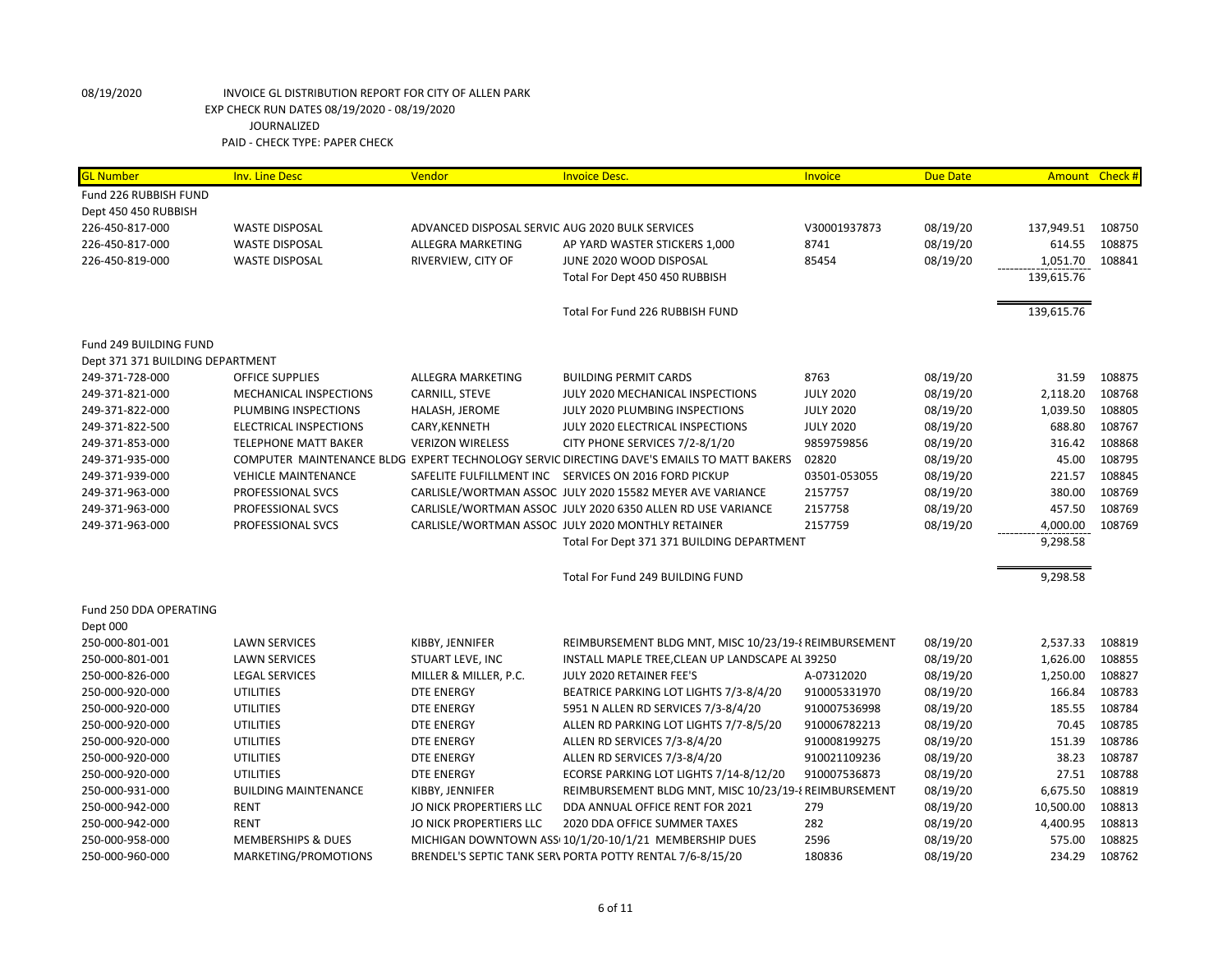| <b>GL Number</b>                 | <b>Inv. Line Desc</b>         | Vendor                                          | <b>Invoice Desc.</b>                                                                      | Invoice          | <b>Due Date</b> |            | Amount Check # |
|----------------------------------|-------------------------------|-------------------------------------------------|-------------------------------------------------------------------------------------------|------------------|-----------------|------------|----------------|
| Fund 226 RUBBISH FUND            |                               |                                                 |                                                                                           |                  |                 |            |                |
| Dept 450 450 RUBBISH             |                               |                                                 |                                                                                           |                  |                 |            |                |
| 226-450-817-000                  | <b>WASTE DISPOSAL</b>         | ADVANCED DISPOSAL SERVIC AUG 2020 BULK SERVICES |                                                                                           | V30001937873     | 08/19/20        | 137,949.51 | 108750         |
| 226-450-817-000                  | <b>WASTE DISPOSAL</b>         | ALLEGRA MARKETING                               | AP YARD WASTER STICKERS 1,000                                                             | 8741             | 08/19/20        | 614.55     | 108875         |
| 226-450-819-000                  | <b>WASTE DISPOSAL</b>         | RIVERVIEW, CITY OF                              | JUNE 2020 WOOD DISPOSAL                                                                   | 85454            | 08/19/20        | 1,051.70   | 108841         |
|                                  |                               |                                                 | Total For Dept 450 450 RUBBISH                                                            |                  |                 | 139,615.76 |                |
|                                  |                               |                                                 | Total For Fund 226 RUBBISH FUND                                                           |                  |                 | 139,615.76 |                |
| Fund 249 BUILDING FUND           |                               |                                                 |                                                                                           |                  |                 |            |                |
| Dept 371 371 BUILDING DEPARTMENT |                               |                                                 |                                                                                           |                  |                 |            |                |
| 249-371-728-000                  | <b>OFFICE SUPPLIES</b>        | ALLEGRA MARKETING                               | <b>BUILDING PERMIT CARDS</b>                                                              | 8763             | 08/19/20        | 31.59      | 108875         |
| 249-371-821-000                  | MECHANICAL INSPECTIONS        | CARNILL, STEVE                                  | JULY 2020 MECHANICAL INSPECTIONS                                                          | <b>JULY 2020</b> | 08/19/20        | 2,118.20   | 108768         |
| 249-371-822-000                  | PLUMBING INSPECTIONS          | HALASH, JEROME                                  | JULY 2020 PLUMBING INSPECTIONS                                                            | <b>JULY 2020</b> | 08/19/20        | 1,039.50   | 108805         |
| 249-371-822-500                  | ELECTRICAL INSPECTIONS        | CARY, KENNETH                                   | JULY 2020 ELECTRICAL INSPECTIONS                                                          | <b>JULY 2020</b> | 08/19/20        | 688.80     | 108767         |
| 249-371-853-000                  | <b>TELEPHONE MATT BAKER</b>   | <b>VERIZON WIRELESS</b>                         | CITY PHONE SERVICES 7/2-8/1/20                                                            | 9859759856       | 08/19/20        | 316.42     | 108868         |
| 249-371-935-000                  |                               |                                                 | COMPUTER MAINTENANCE BLDG EXPERT TECHNOLOGY SERVIC DIRECTING DAVE'S EMAILS TO MATT BAKERS | 02820            | 08/19/20        | 45.00      | 108795         |
| 249-371-939-000                  | <b>VEHICLE MAINTENANCE</b>    |                                                 | SAFELITE FULFILLMENT INC SERVICES ON 2016 FORD PICKUP                                     | 03501-053055     | 08/19/20        | 221.57     | 108845         |
| 249-371-963-000                  | PROFESSIONAL SVCS             |                                                 | CARLISLE/WORTMAN ASSOC JULY 2020 15582 MEYER AVE VARIANCE                                 | 2157757          | 08/19/20        | 380.00     | 108769         |
| 249-371-963-000                  | PROFESSIONAL SVCS             |                                                 | CARLISLE/WORTMAN ASSOC JULY 2020 6350 ALLEN RD USE VARIANCE                               | 2157758          | 08/19/20        | 457.50     | 108769         |
| 249-371-963-000                  | PROFESSIONAL SVCS             |                                                 | CARLISLE/WORTMAN ASSOC JULY 2020 MONTHLY RETAINER                                         | 2157759          | 08/19/20        | 4,000.00   | 108769         |
|                                  |                               |                                                 | Total For Dept 371 371 BUILDING DEPARTMENT                                                |                  |                 | 9,298.58   |                |
|                                  |                               |                                                 | Total For Fund 249 BUILDING FUND                                                          |                  |                 | 9,298.58   |                |
| Fund 250 DDA OPERATING           |                               |                                                 |                                                                                           |                  |                 |            |                |
| Dept 000                         |                               |                                                 |                                                                                           |                  |                 |            |                |
| 250-000-801-001                  | <b>LAWN SERVICES</b>          | KIBBY, JENNIFER                                 | REIMBURSEMENT BLDG MNT, MISC 10/23/19-8 REIMBURSEMENT                                     |                  | 08/19/20        | 2,537.33   | 108819         |
| 250-000-801-001                  | <b>LAWN SERVICES</b>          | STUART LEVE, INC                                | INSTALL MAPLE TREE, CLEAN UP LANDSCAPE AL 39250                                           |                  | 08/19/20        | 1,626.00   | 108855         |
| 250-000-826-000                  | <b>LEGAL SERVICES</b>         | MILLER & MILLER, P.C.                           | JULY 2020 RETAINER FEE'S                                                                  | A-07312020       | 08/19/20        | 1,250.00   | 108827         |
| 250-000-920-000                  | <b>UTILITIES</b>              | <b>DTE ENERGY</b>                               | BEATRICE PARKING LOT LIGHTS 7/3-8/4/20                                                    | 910005331970     | 08/19/20        | 166.84     | 108783         |
| 250-000-920-000                  | <b>UTILITIES</b>              | DTE ENERGY                                      | 5951 N ALLEN RD SERVICES 7/3-8/4/20                                                       | 910007536998     | 08/19/20        | 185.55     | 108784         |
| 250-000-920-000                  | <b>UTILITIES</b>              | <b>DTE ENERGY</b>                               | ALLEN RD PARKING LOT LIGHTS 7/7-8/5/20                                                    | 910006782213     | 08/19/20        | 70.45      | 108785         |
| 250-000-920-000                  | <b>UTILITIES</b>              | DTE ENERGY                                      | ALLEN RD SERVICES 7/3-8/4/20                                                              | 910008199275     | 08/19/20        | 151.39     | 108786         |
| 250-000-920-000                  | <b>UTILITIES</b>              | DTE ENERGY                                      | ALLEN RD SERVICES 7/3-8/4/20                                                              | 910021109236     | 08/19/20        | 38.23      | 108787         |
| 250-000-920-000                  | <b>UTILITIES</b>              | DTE ENERGY                                      | ECORSE PARKING LOT LIGHTS 7/14-8/12/20                                                    | 910007536873     | 08/19/20        | 27.51      | 108788         |
| 250-000-931-000                  | <b>BUILDING MAINTENANCE</b>   | KIBBY, JENNIFER                                 | REIMBURSEMENT BLDG MNT, MISC 10/23/19-8 REIMBURSEMENT                                     |                  | 08/19/20        | 6,675.50   | 108819         |
| 250-000-942-000                  | <b>RENT</b>                   | JO NICK PROPERTIERS LLC                         | DDA ANNUAL OFFICE RENT FOR 2021                                                           | 279              | 08/19/20        | 10,500.00  | 108813         |
| 250-000-942-000                  | <b>RENT</b>                   | JO NICK PROPERTIERS LLC                         | 2020 DDA OFFICE SUMMER TAXES                                                              | 282              | 08/19/20        | 4,400.95   | 108813         |
| 250-000-958-000                  | <b>MEMBERSHIPS &amp; DUES</b> |                                                 | MICHIGAN DOWNTOWN ASS 10/1/20-10/1/21 MEMBERSHIP DUES                                     | 2596             | 08/19/20        | 575.00     | 108825         |
| 250-000-960-000                  | MARKETING/PROMOTIONS          |                                                 | BRENDEL'S SEPTIC TANK SER\ PORTA POTTY RENTAL 7/6-8/15/20                                 | 180836           | 08/19/20        | 234.29     | 108762         |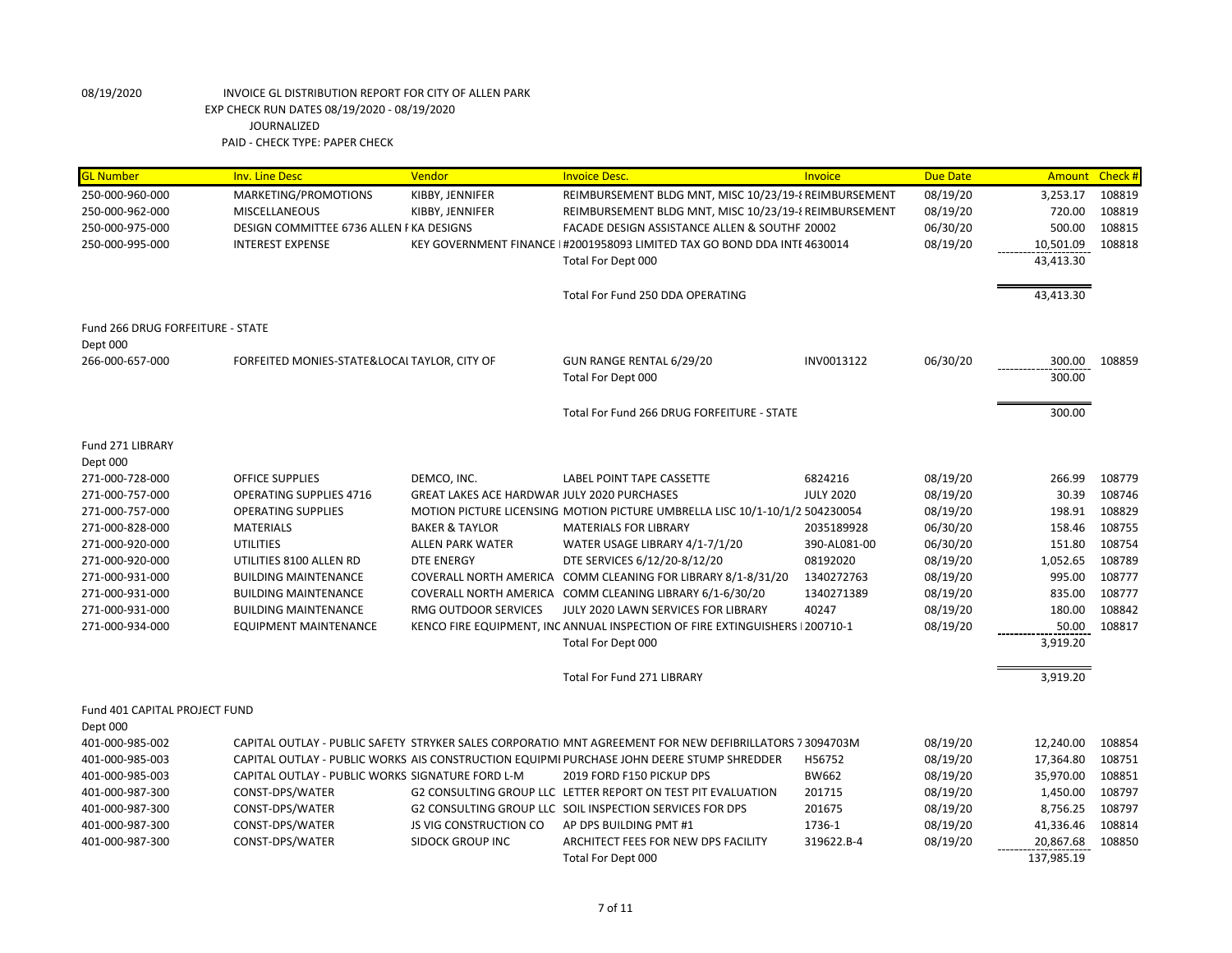| <b>GL Number</b>                 | <b>Inv. Line Desc</b>                            | Vendor                                             | <b>Invoice Desc.</b>                                                                                    | Invoice          | <b>Due Date</b> | Amount                  | Check # |
|----------------------------------|--------------------------------------------------|----------------------------------------------------|---------------------------------------------------------------------------------------------------------|------------------|-----------------|-------------------------|---------|
| 250-000-960-000                  | MARKETING/PROMOTIONS                             | KIBBY, JENNIFER                                    | REIMBURSEMENT BLDG MNT, MISC 10/23/19-8 REIMBURSEMENT                                                   |                  | 08/19/20        | 3,253.17                | 108819  |
| 250-000-962-000                  | <b>MISCELLANEOUS</b>                             | KIBBY, JENNIFER                                    | REIMBURSEMENT BLDG MNT, MISC 10/23/19-8 REIMBURSEMENT                                                   |                  | 08/19/20        | 720.00                  | 108819  |
| 250-000-975-000                  | DESIGN COMMITTEE 6736 ALLEN FKA DESIGNS          |                                                    | FACADE DESIGN ASSISTANCE ALLEN & SOUTHFI 20002                                                          |                  | 06/30/20        | 500.00                  | 108815  |
| 250-000-995-000                  | <b>INTEREST EXPENSE</b>                          |                                                    | KEY GOVERNMENT FINANCE I#2001958093 LIMITED TAX GO BOND DDA INTE 4630014                                |                  | 08/19/20        | 10,501.09               | 108818  |
|                                  |                                                  |                                                    | Total For Dept 000                                                                                      |                  |                 | 43,413.30               |         |
|                                  |                                                  |                                                    | Total For Fund 250 DDA OPERATING                                                                        |                  |                 | 43,413.30               |         |
| Fund 266 DRUG FORFEITURE - STATE |                                                  |                                                    |                                                                                                         |                  |                 |                         |         |
| Dept 000                         |                                                  |                                                    |                                                                                                         |                  |                 |                         |         |
| 266-000-657-000                  | FORFEITED MONIES-STATE&LOCAL TAYLOR, CITY OF     |                                                    | GUN RANGE RENTAL 6/29/20                                                                                | INV0013122       | 06/30/20        | 300.00                  | 108859  |
|                                  |                                                  |                                                    | Total For Dept 000                                                                                      |                  |                 | 300.00                  |         |
|                                  |                                                  |                                                    | Total For Fund 266 DRUG FORFEITURE - STATE                                                              |                  |                 | 300.00                  |         |
| Fund 271 LIBRARY                 |                                                  |                                                    |                                                                                                         |                  |                 |                         |         |
| Dept 000                         |                                                  |                                                    |                                                                                                         |                  |                 |                         |         |
| 271-000-728-000                  | OFFICE SUPPLIES                                  | DEMCO, INC.                                        | LABEL POINT TAPE CASSETTE                                                                               | 6824216          | 08/19/20        | 266.99                  | 108779  |
| 271-000-757-000                  | <b>OPERATING SUPPLIES 4716</b>                   | <b>GREAT LAKES ACE HARDWAR JULY 2020 PURCHASES</b> |                                                                                                         | <b>JULY 2020</b> | 08/19/20        | 30.39                   | 108746  |
| 271-000-757-000                  | <b>OPERATING SUPPLIES</b>                        |                                                    | MOTION PICTURE LICENSING MOTION PICTURE UMBRELLA LISC 10/1-10/1/2 504230054                             |                  | 08/19/20        | 198.91                  | 108829  |
| 271-000-828-000                  | <b>MATERIALS</b>                                 | <b>BAKER &amp; TAYLOR</b>                          | <b>MATERIALS FOR LIBRARY</b>                                                                            | 2035189928       | 06/30/20        | 158.46                  | 108755  |
| 271-000-920-000                  | <b>UTILITIES</b>                                 | <b>ALLEN PARK WATER</b>                            | WATER USAGE LIBRARY 4/1-7/1/20                                                                          | 390-AL081-00     | 06/30/20        | 151.80                  | 108754  |
| 271-000-920-000                  | UTILITIES 8100 ALLEN RD                          | <b>DTE ENERGY</b>                                  | DTE SERVICES 6/12/20-8/12/20                                                                            | 08192020         | 08/19/20        | 1,052.65                | 108789  |
| 271-000-931-000                  | <b>BUILDING MAINTENANCE</b>                      |                                                    | COVERALL NORTH AMERICA COMM CLEANING FOR LIBRARY 8/1-8/31/20                                            | 1340272763       | 08/19/20        | 995.00                  | 108777  |
| 271-000-931-000                  | <b>BUILDING MAINTENANCE</b>                      |                                                    | COVERALL NORTH AMERICA COMM CLEANING LIBRARY 6/1-6/30/20                                                | 1340271389       | 08/19/20        | 835.00                  | 108777  |
| 271-000-931-000                  | <b>BUILDING MAINTENANCE</b>                      | RMG OUTDOOR SERVICES                               | JULY 2020 LAWN SERVICES FOR LIBRARY                                                                     | 40247            | 08/19/20        | 180.00                  | 108842  |
| 271-000-934-000                  | <b>EQUIPMENT MAINTENANCE</b>                     |                                                    | KENCO FIRE EQUIPMENT, INC ANNUAL INSPECTION OF FIRE EXTINGUISHERS I 200710-1                            |                  | 08/19/20        | 50.00                   | 108817  |
|                                  |                                                  |                                                    | Total For Dept 000                                                                                      |                  |                 | 3,919.20                |         |
|                                  |                                                  |                                                    | Total For Fund 271 LIBRARY                                                                              |                  |                 | 3,919.20                |         |
| Fund 401 CAPITAL PROJECT FUND    |                                                  |                                                    |                                                                                                         |                  |                 |                         |         |
| Dept 000                         |                                                  |                                                    |                                                                                                         |                  |                 |                         |         |
| 401-000-985-002                  |                                                  |                                                    | CAPITAL OUTLAY - PUBLIC SAFETY STRYKER SALES CORPORATIO MNT AGREEMENT FOR NEW DEFIBRILLATORS 7 3094703M |                  | 08/19/20        | 12,240.00               | 108854  |
| 401-000-985-003                  |                                                  |                                                    | CAPITAL OUTLAY - PUBLIC WORKS AIS CONSTRUCTION EQUIPMI PURCHASE JOHN DEERE STUMP SHREDDER               | H56752           | 08/19/20        | 17,364.80               | 108751  |
| 401-000-985-003                  | CAPITAL OUTLAY - PUBLIC WORKS SIGNATURE FORD L-M |                                                    | 2019 FORD F150 PICKUP DPS                                                                               | BW662            | 08/19/20        | 35,970.00               | 108851  |
| 401-000-987-300                  | CONST-DPS/WATER                                  |                                                    | G2 CONSULTING GROUP LLC LETTER REPORT ON TEST PIT EVALUATION                                            | 201715           | 08/19/20        | 1,450.00                | 108797  |
| 401-000-987-300                  | CONST-DPS/WATER                                  |                                                    | G2 CONSULTING GROUP LLC SOIL INSPECTION SERVICES FOR DPS                                                | 201675           | 08/19/20        | 8,756.25                | 108797  |
| 401-000-987-300                  | CONST-DPS/WATER                                  | JS VIG CONSTRUCTION CO                             | AP DPS BUILDING PMT #1                                                                                  | 1736-1           | 08/19/20        | 41,336.46               | 108814  |
| 401-000-987-300                  | CONST-DPS/WATER                                  | <b>SIDOCK GROUP INC</b>                            | ARCHITECT FEES FOR NEW DPS FACILITY<br>Total For Dept 000                                               | 319622.B-4       | 08/19/20        | 20,867.68<br>137,985.19 | 108850  |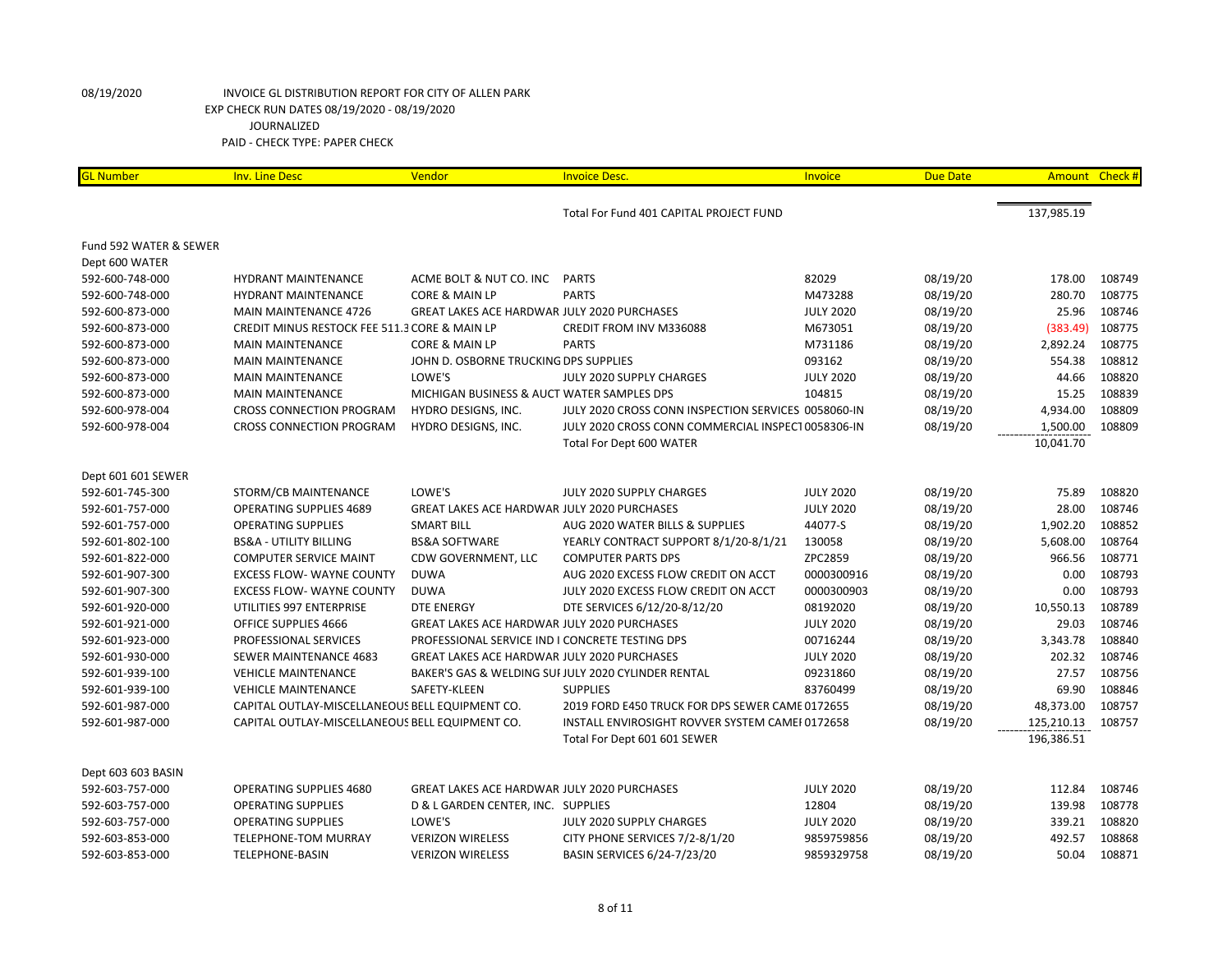| <b>GL Number</b>       | <b>Inv. Line Desc</b>                           | Vendor                                             | <b>Invoice Desc.</b>                                | Invoice          | <b>Due Date</b> | Amount Check # |        |
|------------------------|-------------------------------------------------|----------------------------------------------------|-----------------------------------------------------|------------------|-----------------|----------------|--------|
|                        |                                                 |                                                    | Total For Fund 401 CAPITAL PROJECT FUND             |                  |                 | 137,985.19     |        |
|                        |                                                 |                                                    |                                                     |                  |                 |                |        |
| Fund 592 WATER & SEWER |                                                 |                                                    |                                                     |                  |                 |                |        |
| Dept 600 WATER         |                                                 |                                                    |                                                     |                  |                 |                |        |
| 592-600-748-000        | HYDRANT MAINTENANCE                             | ACME BOLT & NUT CO. INC                            | <b>PARTS</b>                                        | 82029            | 08/19/20        | 178.00         | 108749 |
| 592-600-748-000        | <b>HYDRANT MAINTENANCE</b>                      | CORE & MAIN LP                                     | <b>PARTS</b>                                        | M473288          | 08/19/20        | 280.70         | 108775 |
| 592-600-873-000        | <b>MAIN MAINTENANCE 4726</b>                    | <b>GREAT LAKES ACE HARDWAR JULY 2020 PURCHASES</b> |                                                     | <b>JULY 2020</b> | 08/19/20        | 25.96          | 108746 |
| 592-600-873-000        | CREDIT MINUS RESTOCK FEE 511.3 CORE & MAIN LP   |                                                    | CREDIT FROM INV M336088                             | M673051          | 08/19/20        | (383.49)       | 108775 |
| 592-600-873-000        | <b>MAIN MAINTENANCE</b>                         | CORE & MAIN LP                                     | <b>PARTS</b>                                        | M731186          | 08/19/20        | 2,892.24       | 108775 |
| 592-600-873-000        | <b>MAIN MAINTENANCE</b>                         | JOHN D. OSBORNE TRUCKING DPS SUPPLIES              |                                                     | 093162           | 08/19/20        | 554.38         | 108812 |
| 592-600-873-000        | <b>MAIN MAINTENANCE</b>                         | LOWE'S                                             | JULY 2020 SUPPLY CHARGES                            | <b>JULY 2020</b> | 08/19/20        | 44.66          | 108820 |
| 592-600-873-000        | <b>MAIN MAINTENANCE</b>                         | MICHIGAN BUSINESS & AUCT WATER SAMPLES DPS         |                                                     | 104815           | 08/19/20        | 15.25          | 108839 |
| 592-600-978-004        | <b>CROSS CONNECTION PROGRAM</b>                 | HYDRO DESIGNS, INC.                                | JULY 2020 CROSS CONN INSPECTION SERVICES 0058060-IN |                  | 08/19/20        | 4,934.00       | 108809 |
| 592-600-978-004        | <b>CROSS CONNECTION PROGRAM</b>                 | HYDRO DESIGNS, INC.                                | JULY 2020 CROSS CONN COMMERCIAL INSPECT 0058306-IN  |                  | 08/19/20        | 1,500.00       | 108809 |
|                        |                                                 |                                                    | Total For Dept 600 WATER                            |                  |                 | 10,041.70      |        |
| Dept 601 601 SEWER     |                                                 |                                                    |                                                     |                  |                 |                |        |
| 592-601-745-300        | STORM/CB MAINTENANCE                            | LOWE'S                                             | JULY 2020 SUPPLY CHARGES                            | <b>JULY 2020</b> | 08/19/20        | 75.89          | 108820 |
| 592-601-757-000        | <b>OPERATING SUPPLIES 4689</b>                  | <b>GREAT LAKES ACE HARDWAR JULY 2020 PURCHASES</b> |                                                     | <b>JULY 2020</b> | 08/19/20        | 28.00          | 108746 |
| 592-601-757-000        | <b>OPERATING SUPPLIES</b>                       | <b>SMART BILL</b>                                  | AUG 2020 WATER BILLS & SUPPLIES                     | 44077-S          | 08/19/20        | 1,902.20       | 108852 |
| 592-601-802-100        | <b>BS&amp;A - UTILITY BILLING</b>               | <b>BS&amp;A SOFTWARE</b>                           | YEARLY CONTRACT SUPPORT 8/1/20-8/1/21               | 130058           | 08/19/20        | 5,608.00       | 108764 |
| 592-601-822-000        | <b>COMPUTER SERVICE MAINT</b>                   | CDW GOVERNMENT, LLC                                | <b>COMPUTER PARTS DPS</b>                           | ZPC2859          | 08/19/20        | 966.56         | 108771 |
| 592-601-907-300        | <b>EXCESS FLOW- WAYNE COUNTY</b>                | <b>DUWA</b>                                        | AUG 2020 EXCESS FLOW CREDIT ON ACCT                 | 0000300916       | 08/19/20        | 0.00           | 108793 |
| 592-601-907-300        | <b>EXCESS FLOW- WAYNE COUNTY</b>                | <b>DUWA</b>                                        | JULY 2020 EXCESS FLOW CREDIT ON ACCT                | 0000300903       | 08/19/20        | 0.00           | 108793 |
| 592-601-920-000        | UTILITIES 997 ENTERPRISE                        | <b>DTE ENERGY</b>                                  | DTE SERVICES 6/12/20-8/12/20                        | 08192020         | 08/19/20        | 10,550.13      | 108789 |
| 592-601-921-000        | OFFICE SUPPLIES 4666                            | <b>GREAT LAKES ACE HARDWAR JULY 2020 PURCHASES</b> |                                                     | <b>JULY 2020</b> | 08/19/20        | 29.03          | 108746 |
| 592-601-923-000        | PROFESSIONAL SERVICES                           | PROFESSIONAL SERVICE IND I CONCRETE TESTING DPS    |                                                     | 00716244         | 08/19/20        | 3,343.78       | 108840 |
| 592-601-930-000        | SEWER MAINTENANCE 4683                          | <b>GREAT LAKES ACE HARDWAR JULY 2020 PURCHASES</b> |                                                     | <b>JULY 2020</b> | 08/19/20        | 202.32         | 108746 |
| 592-601-939-100        | <b>VEHICLE MAINTENANCE</b>                      |                                                    | BAKER'S GAS & WELDING SUI JULY 2020 CYLINDER RENTAL | 09231860         | 08/19/20        | 27.57          | 108756 |
| 592-601-939-100        | <b>VEHICLE MAINTENANCE</b>                      | SAFETY-KLEEN                                       | <b>SUPPLIES</b>                                     | 83760499         | 08/19/20        | 69.90          | 108846 |
| 592-601-987-000        | CAPITAL OUTLAY-MISCELLANEOUS BELL EQUIPMENT CO. |                                                    | 2019 FORD E450 TRUCK FOR DPS SEWER CAME 0172655     |                  | 08/19/20        | 48,373.00      | 108757 |
| 592-601-987-000        | CAPITAL OUTLAY-MISCELLANEOUS BELL EQUIPMENT CO. |                                                    | INSTALL ENVIROSIGHT ROVVER SYSTEM CAMEF0172658      |                  | 08/19/20        | 125,210.13     | 108757 |
|                        |                                                 |                                                    |                                                     |                  |                 | 196,386.51     |        |
|                        |                                                 |                                                    | Total For Dept 601 601 SEWER                        |                  |                 |                |        |
| Dept 603 603 BASIN     |                                                 |                                                    |                                                     |                  |                 |                |        |
| 592-603-757-000        | OPERATING SUPPLIES 4680                         | <b>GREAT LAKES ACE HARDWAR JULY 2020 PURCHASES</b> |                                                     | <b>JULY 2020</b> | 08/19/20        | 112.84         | 108746 |
| 592-603-757-000        | <b>OPERATING SUPPLIES</b>                       | D & L GARDEN CENTER, INC. SUPPLIES                 |                                                     | 12804            | 08/19/20        | 139.98         | 108778 |
| 592-603-757-000        | <b>OPERATING SUPPLIES</b>                       | LOWE'S                                             | JULY 2020 SUPPLY CHARGES                            | <b>JULY 2020</b> | 08/19/20        | 339.21         | 108820 |
| 592-603-853-000        | <b>TELEPHONE-TOM MURRAY</b>                     | <b>VERIZON WIRELESS</b>                            | CITY PHONE SERVICES 7/2-8/1/20                      | 9859759856       | 08/19/20        | 492.57         | 108868 |
| 592-603-853-000        | TELEPHONE-BASIN                                 | <b>VERIZON WIRELESS</b>                            | BASIN SERVICES 6/24-7/23/20                         | 9859329758       | 08/19/20        | 50.04          | 108871 |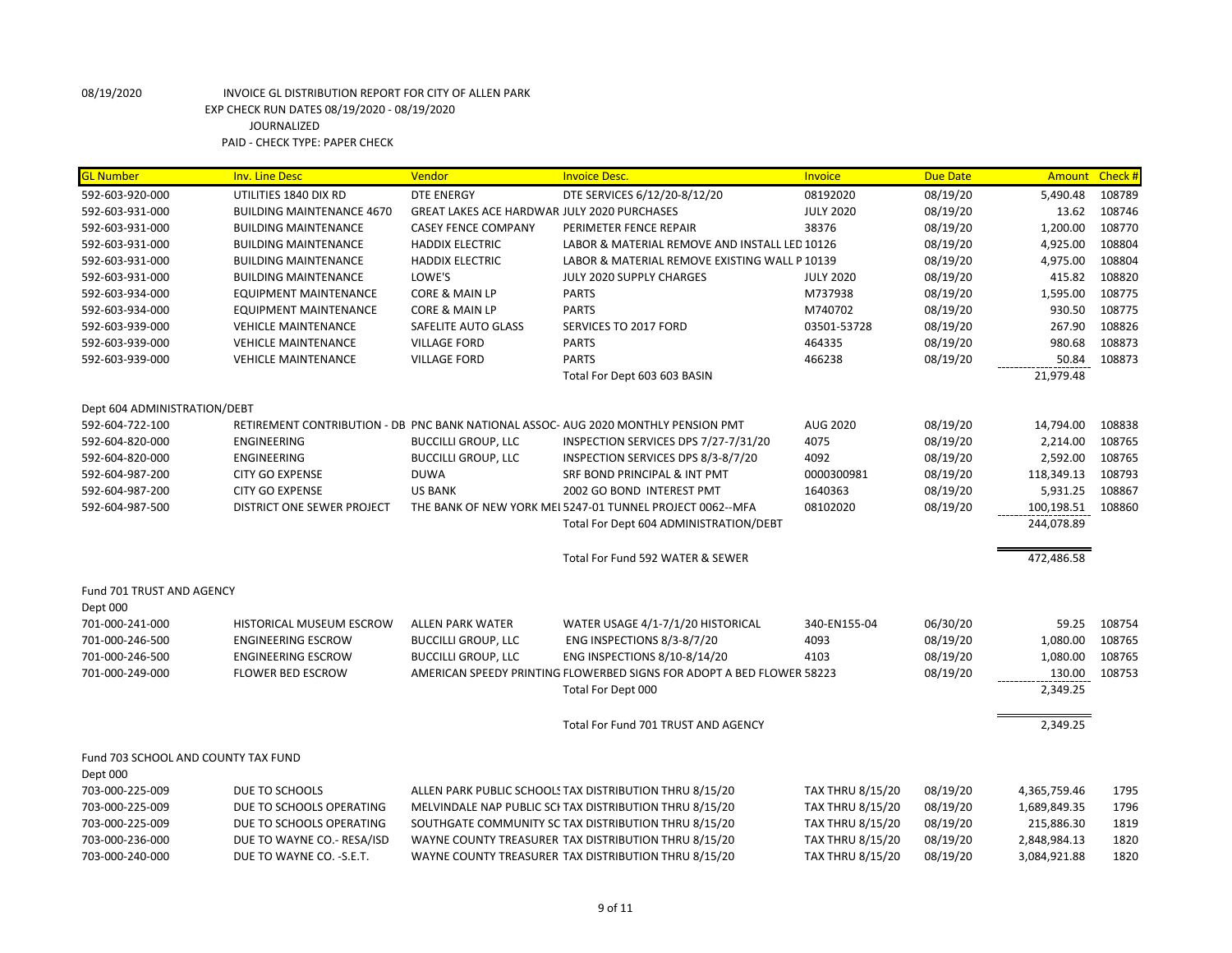| <b>GL Number</b>                    | <b>Inv. Line Desc</b>            | Vendor                                             | <b>Invoice Desc.</b>                                                               | <b>Invoice</b>          | <b>Due Date</b> | Amount Check# |        |
|-------------------------------------|----------------------------------|----------------------------------------------------|------------------------------------------------------------------------------------|-------------------------|-----------------|---------------|--------|
| 592-603-920-000                     | UTILITIES 1840 DIX RD            | <b>DTE ENERGY</b>                                  | DTE SERVICES 6/12/20-8/12/20                                                       | 08192020                | 08/19/20        | 5,490.48      | 108789 |
| 592-603-931-000                     | <b>BUILDING MAINTENANCE 4670</b> | <b>GREAT LAKES ACE HARDWAR JULY 2020 PURCHASES</b> |                                                                                    | <b>JULY 2020</b>        | 08/19/20        | 13.62         | 108746 |
| 592-603-931-000                     | <b>BUILDING MAINTENANCE</b>      | <b>CASEY FENCE COMPANY</b>                         | PERIMETER FENCE REPAIR                                                             | 38376                   | 08/19/20        | 1,200.00      | 108770 |
| 592-603-931-000                     | <b>BUILDING MAINTENANCE</b>      | <b>HADDIX ELECTRIC</b>                             | LABOR & MATERIAL REMOVE AND INSTALL LED 10126                                      |                         | 08/19/20        | 4,925.00      | 108804 |
| 592-603-931-000                     | <b>BUILDING MAINTENANCE</b>      | <b>HADDIX ELECTRIC</b>                             | LABOR & MATERIAL REMOVE EXISTING WALL P 10139                                      |                         | 08/19/20        | 4,975.00      | 108804 |
| 592-603-931-000                     | <b>BUILDING MAINTENANCE</b>      | LOWE'S                                             | JULY 2020 SUPPLY CHARGES                                                           | <b>JULY 2020</b>        | 08/19/20        | 415.82        | 108820 |
| 592-603-934-000                     | <b>EQUIPMENT MAINTENANCE</b>     | CORE & MAIN LP                                     | <b>PARTS</b>                                                                       | M737938                 | 08/19/20        | 1,595.00      | 108775 |
| 592-603-934-000                     | <b>EQUIPMENT MAINTENANCE</b>     | CORE & MAIN LP                                     | <b>PARTS</b>                                                                       | M740702                 | 08/19/20        | 930.50        | 108775 |
| 592-603-939-000                     | <b>VEHICLE MAINTENANCE</b>       | SAFELITE AUTO GLASS                                | SERVICES TO 2017 FORD                                                              | 03501-53728             | 08/19/20        | 267.90        | 108826 |
| 592-603-939-000                     | <b>VEHICLE MAINTENANCE</b>       | <b>VILLAGE FORD</b>                                | <b>PARTS</b>                                                                       | 464335                  | 08/19/20        | 980.68        | 108873 |
| 592-603-939-000                     | <b>VEHICLE MAINTENANCE</b>       | <b>VILLAGE FORD</b>                                | <b>PARTS</b>                                                                       | 466238                  | 08/19/20        | 50.84         | 108873 |
|                                     |                                  |                                                    | Total For Dept 603 603 BASIN                                                       |                         |                 | 21,979.48     |        |
| Dept 604 ADMINISTRATION/DEBT        |                                  |                                                    |                                                                                    |                         |                 |               |        |
| 592-604-722-100                     |                                  |                                                    | RETIREMENT CONTRIBUTION - DB PNC BANK NATIONAL ASSOC- AUG 2020 MONTHLY PENSION PMT | AUG 2020                | 08/19/20        | 14,794.00     | 108838 |
| 592-604-820-000                     | <b>ENGINEERING</b>               | <b>BUCCILLI GROUP, LLC</b>                         | INSPECTION SERVICES DPS 7/27-7/31/20                                               | 4075                    | 08/19/20        | 2,214.00      | 108765 |
| 592-604-820-000                     | <b>ENGINEERING</b>               | <b>BUCCILLI GROUP, LLC</b>                         | INSPECTION SERVICES DPS 8/3-8/7/20                                                 | 4092                    | 08/19/20        | 2,592.00      | 108765 |
| 592-604-987-200                     | <b>CITY GO EXPENSE</b>           | <b>DUWA</b>                                        | SRF BOND PRINCIPAL & INT PMT                                                       | 0000300981              | 08/19/20        | 118,349.13    | 108793 |
| 592-604-987-200                     | <b>CITY GO EXPENSE</b>           | <b>US BANK</b>                                     | 2002 GO BOND INTEREST PMT                                                          | 1640363                 | 08/19/20        | 5,931.25      | 108867 |
| 592-604-987-500                     | DISTRICT ONE SEWER PROJECT       |                                                    | THE BANK OF NEW YORK MEI 5247-01 TUNNEL PROJECT 0062--MFA                          | 08102020                | 08/19/20        | 100,198.51    | 108860 |
|                                     |                                  |                                                    | Total For Dept 604 ADMINISTRATION/DEBT                                             |                         |                 | 244,078.89    |        |
|                                     |                                  |                                                    | Total For Fund 592 WATER & SEWER                                                   |                         |                 | 472,486.58    |        |
|                                     |                                  |                                                    |                                                                                    |                         |                 |               |        |
| Fund 701 TRUST AND AGENCY           |                                  |                                                    |                                                                                    |                         |                 |               |        |
| Dept 000                            |                                  |                                                    |                                                                                    |                         |                 |               |        |
| 701-000-241-000                     | HISTORICAL MUSEUM ESCROW         | ALLEN PARK WATER                                   | WATER USAGE 4/1-7/1/20 HISTORICAL                                                  | 340-EN155-04            | 06/30/20        | 59.25         | 108754 |
| 701-000-246-500                     | <b>ENGINEERING ESCROW</b>        | <b>BUCCILLI GROUP, LLC</b>                         | ENG INSPECTIONS 8/3-8/7/20                                                         | 4093                    | 08/19/20        | 1,080.00      | 108765 |
| 701-000-246-500                     | <b>ENGINEERING ESCROW</b>        | <b>BUCCILLI GROUP, LLC</b>                         | ENG INSPECTIONS 8/10-8/14/20                                                       | 4103                    | 08/19/20        | 1,080.00      | 108765 |
| 701-000-249-000                     | <b>FLOWER BED ESCROW</b>         |                                                    | AMERICAN SPEEDY PRINTING FLOWERBED SIGNS FOR ADOPT A BED FLOWER 58223              |                         | 08/19/20        | 130.00        | 108753 |
|                                     |                                  |                                                    | Total For Dept 000                                                                 |                         |                 | 2,349.25      |        |
|                                     |                                  |                                                    | Total For Fund 701 TRUST AND AGENCY                                                |                         |                 | 2,349.25      |        |
| Fund 703 SCHOOL AND COUNTY TAX FUND |                                  |                                                    |                                                                                    |                         |                 |               |        |
| Dept 000                            |                                  |                                                    |                                                                                    |                         |                 |               |        |
| 703-000-225-009                     | DUE TO SCHOOLS                   |                                                    | ALLEN PARK PUBLIC SCHOOLS TAX DISTRIBUTION THRU 8/15/20                            | <b>TAX THRU 8/15/20</b> | 08/19/20        | 4,365,759.46  | 1795   |
| 703-000-225-009                     | DUE TO SCHOOLS OPERATING         |                                                    | MELVINDALE NAP PUBLIC SCI TAX DISTRIBUTION THRU 8/15/20                            | <b>TAX THRU 8/15/20</b> | 08/19/20        | 1,689,849.35  | 1796   |
| 703-000-225-009                     | DUE TO SCHOOLS OPERATING         |                                                    | SOUTHGATE COMMUNITY SC TAX DISTRIBUTION THRU 8/15/20                               | <b>TAX THRU 8/15/20</b> | 08/19/20        | 215,886.30    | 1819   |
| 703-000-236-000                     | DUE TO WAYNE CO.- RESA/ISD       |                                                    | WAYNE COUNTY TREASURER TAX DISTRIBUTION THRU 8/15/20                               | <b>TAX THRU 8/15/20</b> | 08/19/20        | 2,848,984.13  | 1820   |
| 703-000-240-000                     | DUE TO WAYNE CO. - S.E.T.        |                                                    | WAYNE COUNTY TREASURER TAX DISTRIBUTION THRU 8/15/20                               | <b>TAX THRU 8/15/20</b> | 08/19/20        | 3,084,921.88  | 1820   |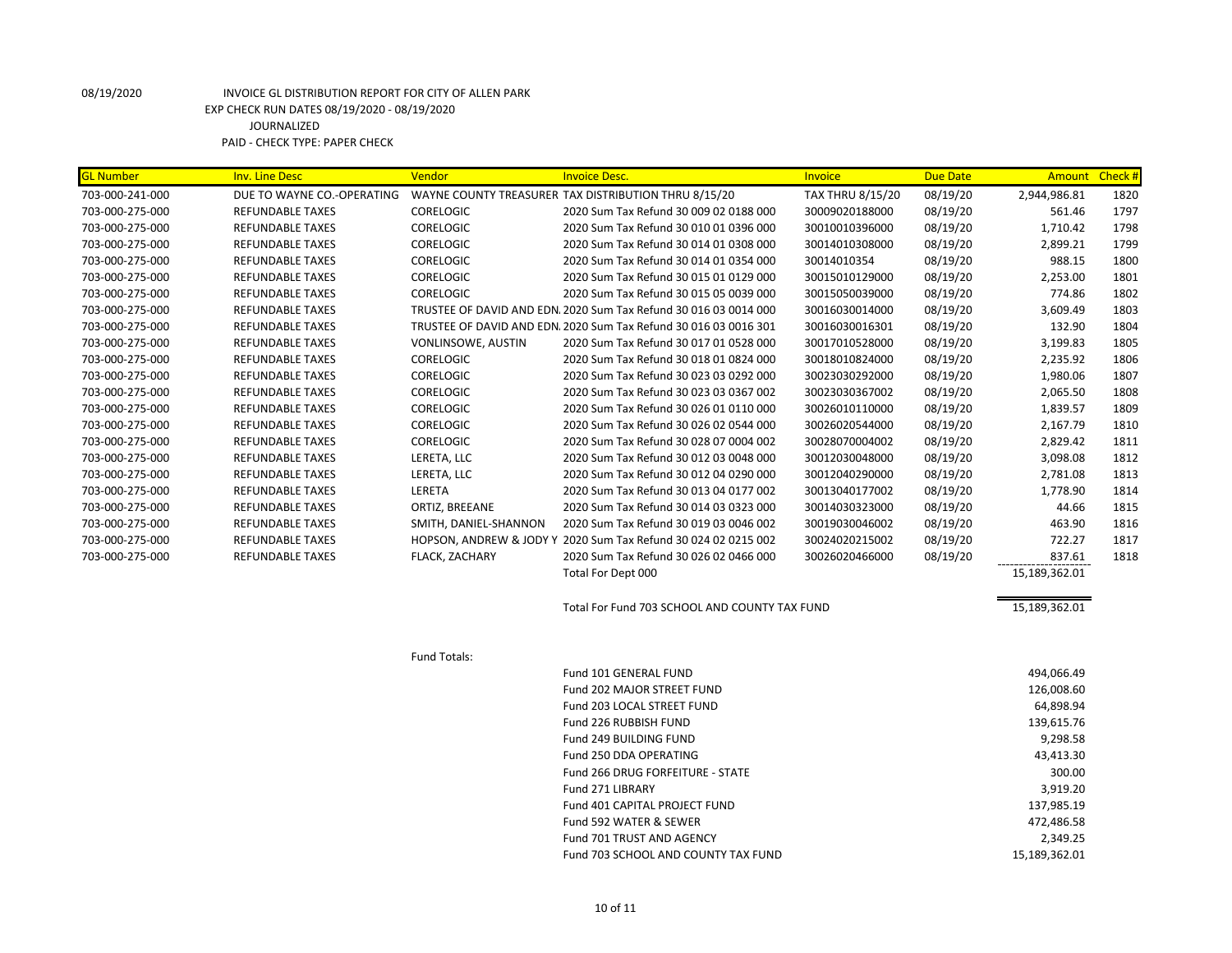| <b>GL Number</b> | <b>Inv. Line Desc</b>      | Vendor                    | <b>Invoice Desc.</b>                                             | Invoice                 | <b>Due Date</b> | Amount Check # |      |
|------------------|----------------------------|---------------------------|------------------------------------------------------------------|-------------------------|-----------------|----------------|------|
| 703-000-241-000  | DUE TO WAYNE CO.-OPERATING |                           | WAYNE COUNTY TREASURER TAX DISTRIBUTION THRU 8/15/20             | <b>TAX THRU 8/15/20</b> | 08/19/20        | 2,944,986.81   | 1820 |
| 703-000-275-000  | <b>REFUNDABLE TAXES</b>    | <b>CORELOGIC</b>          | 2020 Sum Tax Refund 30 009 02 0188 000                           | 30009020188000          | 08/19/20        | 561.46         | 1797 |
| 703-000-275-000  | <b>REFUNDABLE TAXES</b>    | <b>CORELOGIC</b>          | 2020 Sum Tax Refund 30 010 01 0396 000                           | 30010010396000          | 08/19/20        | 1,710.42       | 1798 |
| 703-000-275-000  | REFUNDABLE TAXES           | CORELOGIC                 | 2020 Sum Tax Refund 30 014 01 0308 000                           | 30014010308000          | 08/19/20        | 2,899.21       | 1799 |
| 703-000-275-000  | <b>REFUNDABLE TAXES</b>    | <b>CORELOGIC</b>          | 2020 Sum Tax Refund 30 014 01 0354 000                           | 30014010354             | 08/19/20        | 988.15         | 1800 |
| 703-000-275-000  | <b>REFUNDABLE TAXES</b>    | <b>CORELOGIC</b>          | 2020 Sum Tax Refund 30 015 01 0129 000                           | 30015010129000          | 08/19/20        | 2,253.00       | 1801 |
| 703-000-275-000  | <b>REFUNDABLE TAXES</b>    | <b>CORELOGIC</b>          | 2020 Sum Tax Refund 30 015 05 0039 000                           | 30015050039000          | 08/19/20        | 774.86         | 1802 |
| 703-000-275-000  | <b>REFUNDABLE TAXES</b>    |                           | TRUSTEE OF DAVID AND EDN. 2020 Sum Tax Refund 30 016 03 0014 000 | 30016030014000          | 08/19/20        | 3,609.49       | 1803 |
| 703-000-275-000  | REFUNDABLE TAXES           |                           | TRUSTEE OF DAVID AND EDN. 2020 Sum Tax Refund 30 016 03 0016 301 | 30016030016301          | 08/19/20        | 132.90         | 1804 |
| 703-000-275-000  | REFUNDABLE TAXES           | <b>VONLINSOWE, AUSTIN</b> | 2020 Sum Tax Refund 30 017 01 0528 000                           | 30017010528000          | 08/19/20        | 3,199.83       | 1805 |
| 703-000-275-000  | <b>REFUNDABLE TAXES</b>    | <b>CORELOGIC</b>          | 2020 Sum Tax Refund 30 018 01 0824 000                           | 30018010824000          | 08/19/20        | 2,235.92       | 1806 |
| 703-000-275-000  | <b>REFUNDABLE TAXES</b>    | <b>CORELOGIC</b>          | 2020 Sum Tax Refund 30 023 03 0292 000                           | 30023030292000          | 08/19/20        | 1,980.06       | 1807 |
| 703-000-275-000  | REFUNDABLE TAXES           | CORELOGIC                 | 2020 Sum Tax Refund 30 023 03 0367 002                           | 30023030367002          | 08/19/20        | 2,065.50       | 1808 |
| 703-000-275-000  | <b>REFUNDABLE TAXES</b>    | <b>CORELOGIC</b>          | 2020 Sum Tax Refund 30 026 01 0110 000                           | 30026010110000          | 08/19/20        | 1,839.57       | 1809 |
| 703-000-275-000  | REFUNDABLE TAXES           | CORELOGIC                 | 2020 Sum Tax Refund 30 026 02 0544 000                           | 30026020544000          | 08/19/20        | 2,167.79       | 1810 |
| 703-000-275-000  | <b>REFUNDABLE TAXES</b>    | <b>CORELOGIC</b>          | 2020 Sum Tax Refund 30 028 07 0004 002                           | 30028070004002          | 08/19/20        | 2,829.42       | 1811 |
| 703-000-275-000  | <b>REFUNDABLE TAXES</b>    | LERETA, LLC               | 2020 Sum Tax Refund 30 012 03 0048 000                           | 30012030048000          | 08/19/20        | 3,098.08       | 1812 |
| 703-000-275-000  | <b>REFUNDABLE TAXES</b>    | LERETA, LLC               | 2020 Sum Tax Refund 30 012 04 0290 000                           | 30012040290000          | 08/19/20        | 2,781.08       | 1813 |
| 703-000-275-000  | <b>REFUNDABLE TAXES</b>    | LERETA                    | 2020 Sum Tax Refund 30 013 04 0177 002                           | 30013040177002          | 08/19/20        | 1,778.90       | 1814 |
| 703-000-275-000  | REFUNDABLE TAXES           | ORTIZ, BREEANE            | 2020 Sum Tax Refund 30 014 03 0323 000                           | 30014030323000          | 08/19/20        | 44.66          | 1815 |
| 703-000-275-000  | <b>REFUNDABLE TAXES</b>    | SMITH, DANIEL-SHANNON     | 2020 Sum Tax Refund 30 019 03 0046 002                           | 30019030046002          | 08/19/20        | 463.90         | 1816 |
| 703-000-275-000  | REFUNDABLE TAXES           |                           | HOPSON, ANDREW & JODY Y 2020 Sum Tax Refund 30 024 02 0215 002   | 30024020215002          | 08/19/20        | 722.27         | 1817 |
| 703-000-275-000  | <b>REFUNDABLE TAXES</b>    | FLACK, ZACHARY            | 2020 Sum Tax Refund 30 026 02 0466 000                           | 30026020466000          | 08/19/20        | 837.61         | 1818 |
|                  |                            |                           | Total For Dept 000                                               |                         |                 | 15,189,362.01  |      |
|                  |                            |                           | Total For Fund 703 SCHOOL AND COUNTY TAX FUND                    |                         |                 | 15,189,362.01  |      |
|                  |                            | Fund Totals:              |                                                                  |                         |                 |                |      |
|                  |                            |                           | Fund 101 GENERAL FUND                                            |                         |                 | 494,066.49     |      |
|                  |                            |                           | <b>Fund 202 MAJOR STREET FUND</b>                                |                         |                 | 126,008.60     |      |
|                  |                            |                           | Fund 203 LOCAL STREET FUND                                       |                         |                 | 64,898.94      |      |
|                  |                            |                           | Fund 226 RUBBISH FUND                                            |                         |                 | 139,615.76     |      |
|                  |                            |                           | Fund 249 BUILDING FUND                                           |                         |                 | 9,298.58       |      |
|                  |                            |                           | Fund 250 DDA OPERATING                                           |                         |                 | 43,413.30      |      |
|                  |                            |                           | Fund 266 DRUG FORFEITURE - STATE                                 |                         |                 | 300.00         |      |
|                  |                            |                           | Fund 271 LIBRARY                                                 |                         |                 | 3,919.20       |      |
|                  |                            |                           | Fund 401 CAPITAL PROJECT FUND                                    |                         |                 | 137,985.19     |      |
|                  |                            |                           | Fund 592 WATER & SEWER                                           |                         |                 | 472,486.58     |      |
|                  |                            |                           | Fund 701 TRUST AND AGENCY                                        |                         |                 | 2,349.25       |      |
|                  |                            |                           | Fund 703 SCHOOL AND COUNTY TAX FUND                              |                         |                 | 15,189,362.01  |      |
|                  |                            |                           |                                                                  |                         |                 |                |      |